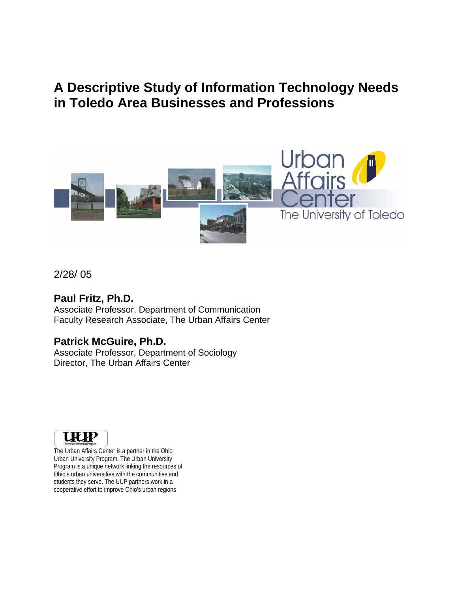# **A Descriptive Study of Information Technology Needs in Toledo Area Businesses and Professions**



## 2/28/ 05

## **Paul Fritz, Ph.D.**

Associate Professor, Department of Communication Faculty Research Associate, The Urban Affairs Center

## **Patrick McGuire, Ph.D.**

Associate Professor, Department of Sociology Director, The Urban Affairs Center



The Urban Affairs Center is a partner in the Ohio Urban University Program. The Urban University Program is a unique network linking the resources of Ohio's urban universities with the communities and students they serve. The UUP partners work in a cooperative effort to improve Ohio's urban regions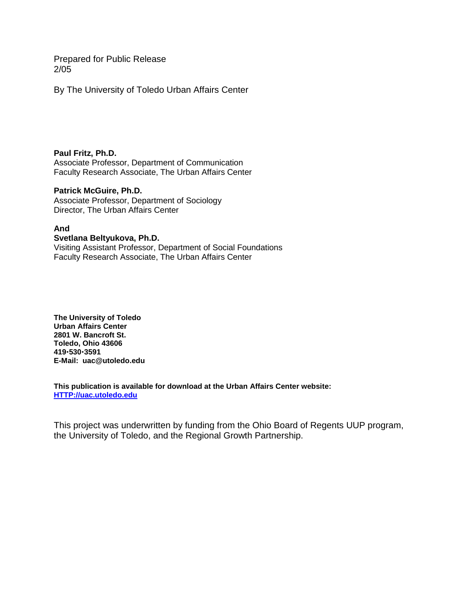Prepared for Public Release 2/05

By The University of Toledo Urban Affairs Center

#### **Paul Fritz, Ph.D.**

Associate Professor, Department of Communication Faculty Research Associate, The Urban Affairs Center

#### **Patrick McGuire, Ph.D.**

Associate Professor, Department of Sociology Director, The Urban Affairs Center

#### **And**

**Svetlana Beltyukova, Ph.D.**  Visiting Assistant Professor, Department of Social Foundations Faculty Research Associate, The Urban Affairs Center

**The University of Toledo Urban Affairs Center 2801 W. Bancroft St. Toledo, Ohio 43606 419**x**530**x**3591 E-Mail: uac@utoledo.edu** 

**This publication is available for download at the Urban Affairs Center website: HTTP://uac.utoledo.edu**

This project was underwritten by funding from the Ohio Board of Regents UUP program, the University of Toledo, and the Regional Growth Partnership.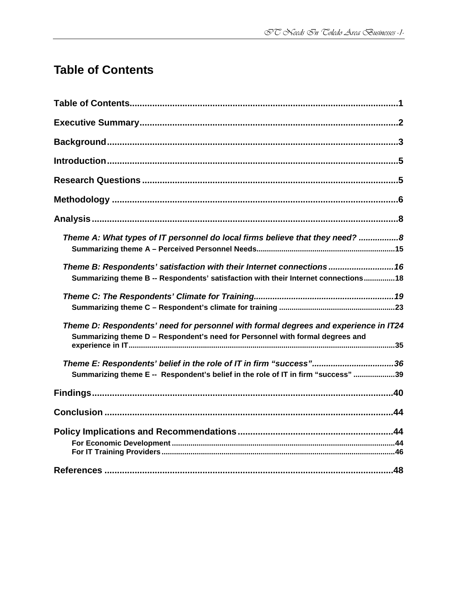# **Table of Contents**

| Theme A: What types of IT personnel do local firms believe that they need? 8                                                                                         |
|----------------------------------------------------------------------------------------------------------------------------------------------------------------------|
|                                                                                                                                                                      |
| Theme B: Respondents' satisfaction with their Internet connections 16                                                                                                |
| Summarizing theme B -- Respondents' satisfaction with their Internet connections18                                                                                   |
|                                                                                                                                                                      |
|                                                                                                                                                                      |
| Theme D: Respondents' need for personnel with formal degrees and experience in IT24<br>Summarizing theme D - Respondent's need for Personnel with formal degrees and |
|                                                                                                                                                                      |
|                                                                                                                                                                      |
| Summarizing theme E -- Respondent's belief in the role of IT in firm "success" 39                                                                                    |
|                                                                                                                                                                      |
|                                                                                                                                                                      |
|                                                                                                                                                                      |
|                                                                                                                                                                      |
|                                                                                                                                                                      |
|                                                                                                                                                                      |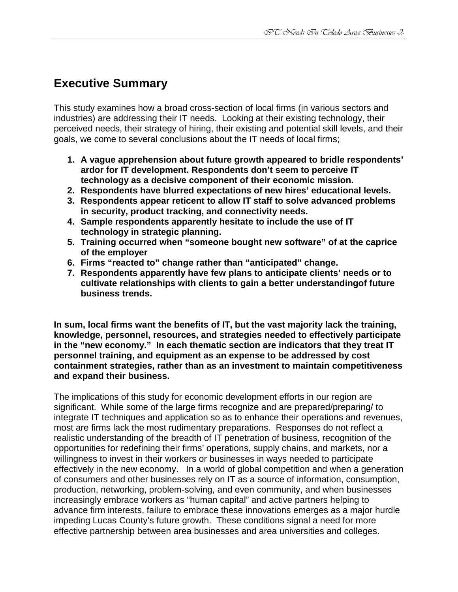# **Executive Summary**

This study examines how a broad cross-section of local firms (in various sectors and industries) are addressing their IT needs. Looking at their existing technology, their perceived needs, their strategy of hiring, their existing and potential skill levels, and their goals, we come to several conclusions about the IT needs of local firms;

- **1. A vague apprehension about future growth appeared to bridle respondents' ardor for IT development. Respondents don't seem to perceive IT technology as a decisive component of their economic mission.**
- **2. Respondents have blurred expectations of new hires' educational levels.**
- **3. Respondents appear reticent to allow IT staff to solve advanced problems in security, product tracking, and connectivity needs.**
- **4. Sample respondents apparently hesitate to include the use of IT technology in strategic planning.**
- **5. Training occurred when "someone bought new software" of at the caprice of the employer**
- **6. Firms "reacted to" change rather than "anticipated" change.**
- **7. Respondents apparently have few plans to anticipate clients' needs or to cultivate relationships with clients to gain a better understandingof future business trends.**

**In sum, local firms want the benefits of IT, but the vast majority lack the training, knowledge, personnel, resources, and strategies needed to effectively participate in the "new economy." In each thematic section are indicators that they treat IT personnel training, and equipment as an expense to be addressed by cost containment strategies, rather than as an investment to maintain competitiveness and expand their business.** 

The implications of this study for economic development efforts in our region are significant. While some of the large firms recognize and are prepared/preparing/ to integrate IT techniques and application so as to enhance their operations and revenues, most are firms lack the most rudimentary preparations. Responses do not reflect a realistic understanding of the breadth of IT penetration of business, recognition of the opportunities for redefining their firms' operations, supply chains, and markets, nor a willingness to invest in their workers or businesses in ways needed to participate effectively in the new economy. In a world of global competition and when a generation of consumers and other businesses rely on IT as a source of information, consumption, production, networking, problem-solving, and even community, and when businesses increasingly embrace workers as "human capital" and active partners helping to advance firm interests, failure to embrace these innovations emerges as a major hurdle impeding Lucas County's future growth. These conditions signal a need for more effective partnership between area businesses and area universities and colleges.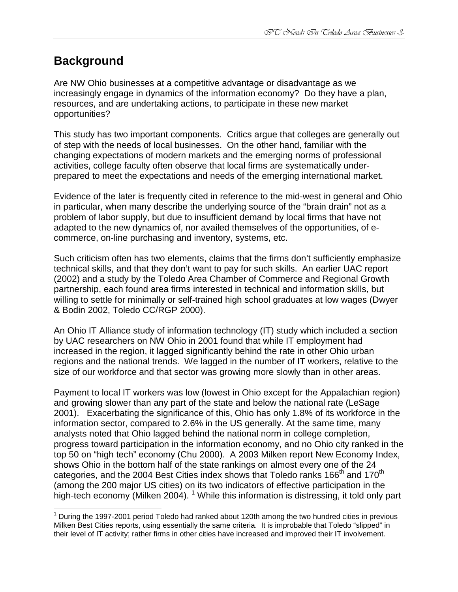# **Background**

 $\overline{a}$ 

Are NW Ohio businesses at a competitive advantage or disadvantage as we increasingly engage in dynamics of the information economy? Do they have a plan, resources, and are undertaking actions, to participate in these new market opportunities?

This study has two important components. Critics argue that colleges are generally out of step with the needs of local businesses. On the other hand, familiar with the changing expectations of modern markets and the emerging norms of professional activities, college faculty often observe that local firms are systematically underprepared to meet the expectations and needs of the emerging international market.

Evidence of the later is frequently cited in reference to the mid-west in general and Ohio in particular, when many describe the underlying source of the "brain drain" not as a problem of labor supply, but due to insufficient demand by local firms that have not adapted to the new dynamics of, nor availed themselves of the opportunities, of ecommerce, on-line purchasing and inventory, systems, etc.

Such criticism often has two elements, claims that the firms don't sufficiently emphasize technical skills, and that they don't want to pay for such skills. An earlier UAC report (2002) and a study by the Toledo Area Chamber of Commerce and Regional Growth partnership, each found area firms interested in technical and information skills, but willing to settle for minimally or self-trained high school graduates at low wages (Dwyer & Bodin 2002, Toledo CC/RGP 2000).

An Ohio IT Alliance study of information technology (IT) study which included a section by UAC researchers on NW Ohio in 2001 found that while IT employment had increased in the region, it lagged significantly behind the rate in other Ohio urban regions and the national trends. We lagged in the number of IT workers, relative to the size of our workforce and that sector was growing more slowly than in other areas.

Payment to local IT workers was low (lowest in Ohio except for the Appalachian region) and growing slower than any part of the state and below the national rate (LeSage 2001). Exacerbating the significance of this, Ohio has only 1.8% of its workforce in the information sector, compared to 2.6% in the US generally. At the same time, many analysts noted that Ohio lagged behind the national norm in college completion, progress toward participation in the information economy, and no Ohio city ranked in the top 50 on "high tech" economy (Chu 2000). A 2003 Milken report New Economy Index, shows Ohio in the bottom half of the state rankings on almost every one of the 24 categories, and the 2004 Best Cities index shows that Toledo ranks 166<sup>th</sup> and 170<sup>th</sup> (among the 200 major US cities) on its two indicators of effective participation in the high-tech economy (Milken 2004). <sup>1</sup> While this information is distressing, it told only part

 $1$  During the 1997-2001 period Toledo had ranked about 120th among the two hundred cities in previous Milken Best Cities reports, using essentially the same criteria. It is improbable that Toledo "slipped" in their level of IT activity; rather firms in other cities have increased and improved their IT involvement.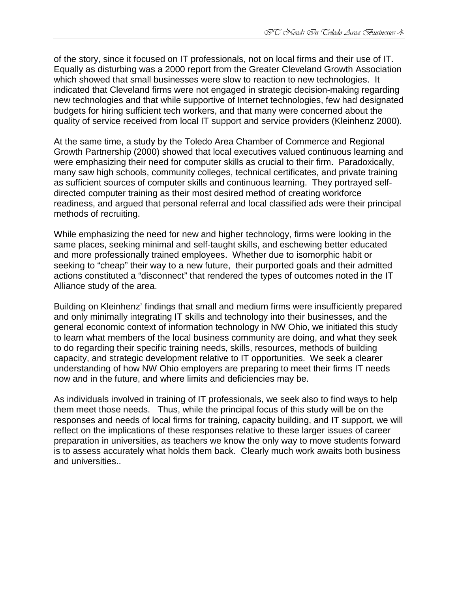of the story, since it focused on IT professionals, not on local firms and their use of IT. Equally as disturbing was a 2000 report from the Greater Cleveland Growth Association which showed that small businesses were slow to reaction to new technologies. It indicated that Cleveland firms were not engaged in strategic decision-making regarding new technologies and that while supportive of Internet technologies, few had designated budgets for hiring sufficient tech workers, and that many were concerned about the quality of service received from local IT support and service providers (Kleinhenz 2000).

At the same time, a study by the Toledo Area Chamber of Commerce and Regional Growth Partnership (2000) showed that local executives valued continuous learning and were emphasizing their need for computer skills as crucial to their firm. Paradoxically, many saw high schools, community colleges, technical certificates, and private training as sufficient sources of computer skills and continuous learning. They portrayed selfdirected computer training as their most desired method of creating workforce readiness, and argued that personal referral and local classified ads were their principal methods of recruiting.

While emphasizing the need for new and higher technology, firms were looking in the same places, seeking minimal and self-taught skills, and eschewing better educated and more professionally trained employees. Whether due to isomorphic habit or seeking to "cheap" their way to a new future, their purported goals and their admitted actions constituted a "disconnect" that rendered the types of outcomes noted in the IT Alliance study of the area.

Building on Kleinhenz' findings that small and medium firms were insufficiently prepared and only minimally integrating IT skills and technology into their businesses, and the general economic context of information technology in NW Ohio, we initiated this study to learn what members of the local business community are doing, and what they seek to do regarding their specific training needs, skills, resources, methods of building capacity, and strategic development relative to IT opportunities. We seek a clearer understanding of how NW Ohio employers are preparing to meet their firms IT needs now and in the future, and where limits and deficiencies may be.

As individuals involved in training of IT professionals, we seek also to find ways to help them meet those needs. Thus, while the principal focus of this study will be on the responses and needs of local firms for training, capacity building, and IT support, we will reflect on the implications of these responses relative to these larger issues of career preparation in universities, as teachers we know the only way to move students forward is to assess accurately what holds them back. Clearly much work awaits both business and universities..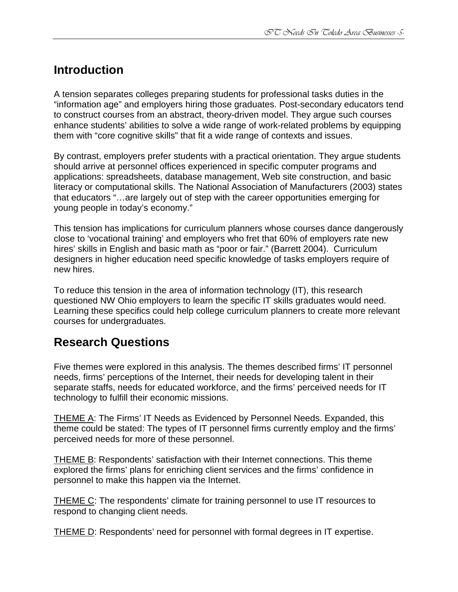# **Introduction**

A tension separates colleges preparing students for professional tasks duties in the "information age" and employers hiring those graduates. Post-secondary educators tend to construct courses from an abstract, theory-driven model. They argue such courses enhance students' abilities to solve a wide range of work-related problems by equipping them with "core cognitive skills" that fit a wide range of contexts and issues.

By contrast, employers prefer students with a practical orientation. They argue students should arrive at personnel offices experienced in specific computer programs and applications: spreadsheets, database management, Web site construction, and basic literacy or computational skills. The National Association of Manufacturers (2003) states that educators "…are largely out of step with the career opportunities emerging for young people in today's economy."

This tension has implications for curriculum planners whose courses dance dangerously close to 'vocational training' and employers who fret that 60% of employers rate new hires' skills in English and basic math as "poor or fair." (Barrett 2004). Curriculum designers in higher education need specific knowledge of tasks employers require of new hires.

To reduce this tension in the area of information technology (IT), this research questioned NW Ohio employers to learn the specific IT skills graduates would need. Learning these specifics could help college curriculum planners to create more relevant courses for undergraduates.

# **Research Questions**

Five themes were explored in this analysis. The themes described firms' IT personnel needs, firms' perceptions of the Internet, their needs for developing talent in their separate staffs, needs for educated workforce, and the firms' perceived needs for IT technology to fulfill their economic missions.

THEME A: The Firms' IT Needs as Evidenced by Personnel Needs. Expanded, this theme could be stated: The types of IT personnel firms currently employ and the firms' perceived needs for more of these personnel.

THEME B: Respondents' satisfaction with their Internet connections. This theme explored the firms' plans for enriching client services and the firms' confidence in personnel to make this happen via the Internet.

THEME C: The respondents' climate for training personnel to use IT resources to respond to changing client needs.

THEME D: Respondents' need for personnel with formal degrees in IT expertise.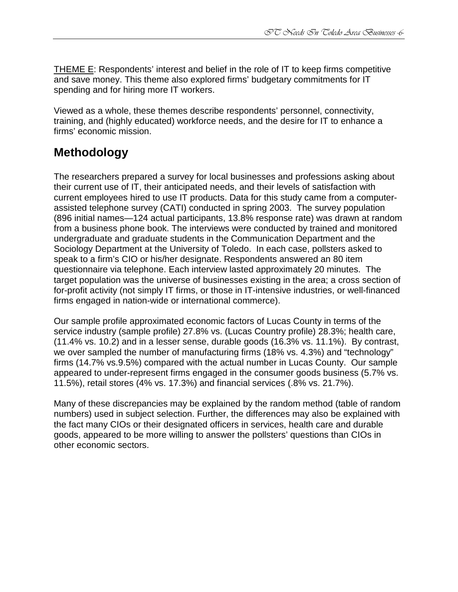THEME E: Respondents' interest and belief in the role of IT to keep firms competitive and save money. This theme also explored firms' budgetary commitments for IT spending and for hiring more IT workers.

Viewed as a whole, these themes describe respondents' personnel, connectivity, training, and (highly educated) workforce needs, and the desire for IT to enhance a firms' economic mission.

# **Methodology**

The researchers prepared a survey for local businesses and professions asking about their current use of IT, their anticipated needs, and their levels of satisfaction with current employees hired to use IT products. Data for this study came from a computerassisted telephone survey (CATI) conducted in spring 2003. The survey population (896 initial names—124 actual participants, 13.8% response rate) was drawn at random from a business phone book. The interviews were conducted by trained and monitored undergraduate and graduate students in the Communication Department and the Sociology Department at the University of Toledo. In each case, pollsters asked to speak to a firm's CIO or his/her designate. Respondents answered an 80 item questionnaire via telephone. Each interview lasted approximately 20 minutes. The target population was the universe of businesses existing in the area; a cross section of for-profit activity (not simply IT firms, or those in IT-intensive industries, or well-financed firms engaged in nation-wide or international commerce).

Our sample profile approximated economic factors of Lucas County in terms of the service industry (sample profile) 27.8% vs. (Lucas Country profile) 28.3%; health care, (11.4% vs. 10.2) and in a lesser sense, durable goods (16.3% vs. 11.1%). By contrast, we over sampled the number of manufacturing firms (18% vs. 4.3%) and "technology" firms (14.7% vs.9.5%) compared with the actual number in Lucas County. Our sample appeared to under-represent firms engaged in the consumer goods business (5.7% vs. 11.5%), retail stores (4% vs. 17.3%) and financial services (.8% vs. 21.7%).

Many of these discrepancies may be explained by the random method (table of random numbers) used in subject selection. Further, the differences may also be explained with the fact many CIOs or their designated officers in services, health care and durable goods, appeared to be more willing to answer the pollsters' questions than CIOs in other economic sectors.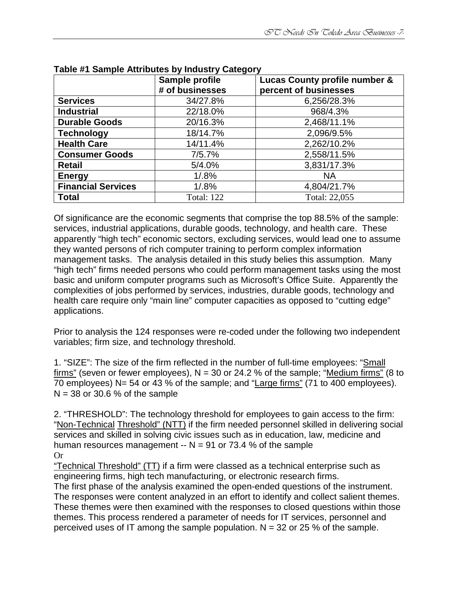|                           | ر - ن<br>Sample profile | Lucas County profile number & |
|---------------------------|-------------------------|-------------------------------|
|                           | # of businesses         | percent of businesses         |
| <b>Services</b>           | 34/27.8%                | 6,256/28.3%                   |
| <b>Industrial</b>         | 22/18.0%                | 968/4.3%                      |
| <b>Durable Goods</b>      | 20/16.3%                | 2,468/11.1%                   |
| <b>Technology</b>         | 18/14.7%                | 2,096/9.5%                    |
| <b>Health Care</b>        | 14/11.4%                | 2,262/10.2%                   |
| <b>Consumer Goods</b>     | 7/5.7%                  | 2,558/11.5%                   |
| <b>Retail</b>             | 5/4.0%                  | 3,831/17.3%                   |
| <b>Energy</b>             | 1/0.8%                  | <b>NA</b>                     |
| <b>Financial Services</b> | $1/0.8\%$               | 4,804/21.7%                   |
| <b>Total</b>              | <b>Total: 122</b>       | Total: 22,055                 |

|  |  |  |  |  |  | Table #1 Sample Attributes by Industry Category |
|--|--|--|--|--|--|-------------------------------------------------|
|--|--|--|--|--|--|-------------------------------------------------|

Of significance are the economic segments that comprise the top 88.5% of the sample: services, industrial applications, durable goods, technology, and health care. These apparently "high tech" economic sectors, excluding services, would lead one to assume they wanted persons of rich computer training to perform complex information management tasks. The analysis detailed in this study belies this assumption. Many "high tech" firms needed persons who could perform management tasks using the most basic and uniform computer programs such as Microsoft's Office Suite. Apparently the complexities of jobs performed by services, industries, durable goods, technology and health care require only "main line" computer capacities as opposed to "cutting edge" applications.

Prior to analysis the 124 responses were re-coded under the following two independent variables; firm size, and technology threshold.

1. "SIZE": The size of the firm reflected in the number of full-time employees: "Small firms" (seven or fewer employees),  $N = 30$  or 24.2 % of the sample; "Medium firms" (8 to  $\overline{70}$  employees) N= 54 or 43 % of the sample; and "Large firms" (71 to 400 employees).  $N = 38$  or 30.6 % of the sample

2. "THRESHOLD": The technology threshold for employees to gain access to the firm: "Non-Technical Threshold" (NTT) if the firm needed personnel skilled in delivering social services and skilled in solving civic issues such as in education, law, medicine and human resources management  $- N = 91$  or 73.4 % of the sample Or

"Technical Threshold" (TT) if a firm were classed as a technical enterprise such as engineering firms, high tech manufacturing, or electronic research firms.

The first phase of the analysis examined the open-ended questions of the instrument. The responses were content analyzed in an effort to identify and collect salient themes. These themes were then examined with the responses to closed questions within those themes. This process rendered a parameter of needs for IT services, personnel and perceived uses of IT among the sample population.  $N = 32$  or 25 % of the sample.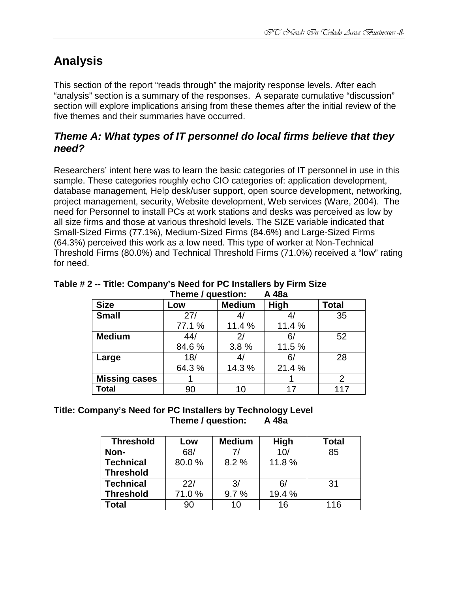# **Analysis**

This section of the report "reads through" the majority response levels. After each "analysis" section is a summary of the responses. A separate cumulative "discussion" section will explore implications arising from these themes after the initial review of the five themes and their summaries have occurred.

# **Theme A: What types of IT personnel do local firms believe that they need?**

Researchers' intent here was to learn the basic categories of IT personnel in use in this sample. These categories roughly echo CIO categories of: application development, database management, Help desk/user support, open source development, networking, project management, security, Website development, Web services (Ware, 2004). The need for Personnel to install PCs at work stations and desks was perceived as low by all size firms and those at various threshold levels. The SIZE variable indicated that Small-Sized Firms (77.1%), Medium-Sized Firms (84.6%) and Large-Sized Firms (64.3%) perceived this work as a low need. This type of worker at Non-Technical Threshold Firms (80.0%) and Technical Threshold Firms (71.0%) received a "low" rating for need.

| . <del>.</del>       |        |               |        |              |  |  |
|----------------------|--------|---------------|--------|--------------|--|--|
| <b>Size</b>          | Low    | <b>Medium</b> | High   | <b>Total</b> |  |  |
| <b>Small</b>         | 27/    |               |        | 35           |  |  |
|                      | 77.1 % | 11.4 %        | 11.4 % |              |  |  |
| <b>Medium</b>        | 44/    | 2/            | 6,     | 52           |  |  |
|                      | 84.6%  | 3.8%          | 11.5 % |              |  |  |
| Large                | 18/    |               | 6/     | 28           |  |  |
|                      | 64.3%  | 14.3 %        | 21.4%  |              |  |  |
| <b>Missing cases</b> |        |               |        | 2            |  |  |
| <b>Total</b>         | 90     | 10            | 17     | 117          |  |  |

#### **Table # 2 -- Title: Company's Need for PC Installers by Firm Size Theme / question: A 48a**

#### **Title: Company's Need for PC Installers by Technology Level Theme / question: A 48a**

| <b>Threshold</b> | Low   | <b>Medium</b> | <b>High</b> | <b>Total</b> |
|------------------|-------|---------------|-------------|--------------|
| Non-             | 68/   |               | 10/         | 85           |
| <b>Technical</b> | 80.0% | 8.2%          | 11.8%       |              |
| <b>Threshold</b> |       |               |             |              |
| <b>Technical</b> | 22/   | 3/            | 6/          | -31          |
| <b>Threshold</b> | 71.0% | 9.7%          | 19.4 %      |              |
| Гоtal            | 90    | 10            | 16          | 116          |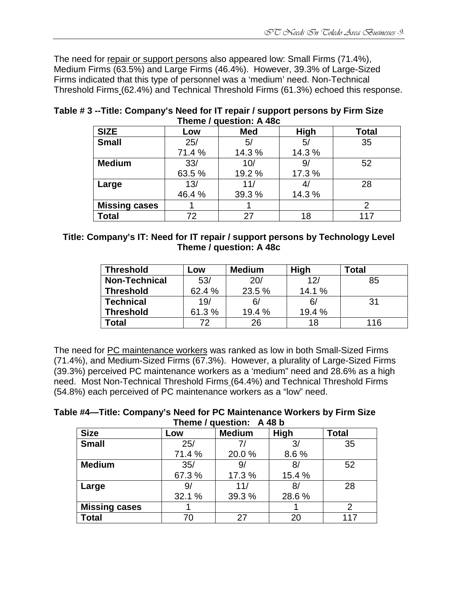The need for repair or support persons also appeared low: Small Firms (71.4%), Medium Firms (63.5%) and Large Firms (46.4%). However, 39.3% of Large-Sized Firms indicated that this type of personnel was a 'medium' need. Non-Technical Threshold Firms (62.4%) and Technical Threshold Firms (61.3%) echoed this response.

| <b>SIZE</b>          | Low    | <b>Med</b> | <b>High</b> | <b>Total</b> |  |  |  |
|----------------------|--------|------------|-------------|--------------|--|--|--|
| <b>Small</b>         | 25/    | 5/         | 5/          | 35           |  |  |  |
|                      | 71.4 % | 14.3 %     | 14.3 %      |              |  |  |  |
| <b>Medium</b>        | 33/    | 10/        | 9           | 52           |  |  |  |
|                      | 63.5 % | 19.2 %     | 17.3 %      |              |  |  |  |
| Large                | 13/    | 11/        | 41          | 28           |  |  |  |
|                      | 46.4 % | 39.3 %     | 14.3 %      |              |  |  |  |
| <b>Missing cases</b> |        |            |             |              |  |  |  |
| <b>Total</b>         | 72     | 27         | 18          |              |  |  |  |

#### **Table # 3 --Title: Company's Need for IT repair / support persons by Firm Size Theme / question: A 48c**

| Title: Company's IT: Need for IT repair / support persons by Technology Level |
|-------------------------------------------------------------------------------|
| Theme / question: A 48c                                                       |

| <b>Threshold</b>     | LOW    | <b>Medium</b> | High   | Total |
|----------------------|--------|---------------|--------|-------|
| <b>Non-Technical</b> | 53/    | 20/           | 12/    | 85    |
| <b>Threshold</b>     | 62.4 % | 23.5 %        | 14.1 % |       |
| <b>Technical</b>     | 19/    | 6/            | 6/     | 31    |
| <b>Threshold</b>     | 61.3%  | 19.4 %        | 19.4 % |       |
| Total                | 72     | 26            | 18     | 116   |

The need for PC maintenance workers was ranked as low in both Small-Sized Firms (71.4%), and Medium-Sized Firms (67.3%). However, a plurality of Large-Sized Firms (39.3%) perceived PC maintenance workers as a 'medium" need and 28.6% as a high need. Most Non-Technical Threshold Firms (64.4%) and Technical Threshold Firms (54.8%) each perceived of PC maintenance workers as a "low" need.

#### **Table #4—Title: Company's Need for PC Maintenance Workers by Firm Size Theme / question: A 48 b**

| <b>Size</b>          | Low    | <b>Medium</b> | High   | <b>Total</b> |
|----------------------|--------|---------------|--------|--------------|
| <b>Small</b>         | 25/    |               | 3/     | 35           |
|                      | 71.4 % | 20.0%         | 8.6%   |              |
| <b>Medium</b>        | 35/    | 9/            | 8      | 52           |
|                      | 67.3%  | 17.3 %        | 15.4 % |              |
| Large                | 9/     | 11/           | 8,     | 28           |
|                      | 32.1 % | 39.3 %        | 28.6%  |              |
| <b>Missing cases</b> |        |               |        | 2            |
| <b>Total</b>         | 70     | 27            | 20     | 117          |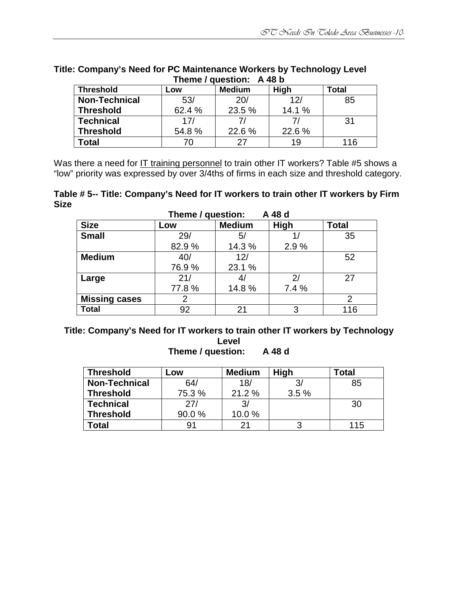| Theme / Question: A 46 D |        |               |        |       |  |  |  |
|--------------------------|--------|---------------|--------|-------|--|--|--|
| <b>Threshold</b>         | Low    | <b>Medium</b> | High   | Total |  |  |  |
| <b>Non-Technical</b>     | 53/    | <b>20/</b>    | 12/    | 85    |  |  |  |
| <b>Threshold</b>         | 62.4 % | 23.5 %        | 14.1 % |       |  |  |  |
| <b>Technical</b>         | 17/    |               |        | 31    |  |  |  |
| <b>Threshold</b>         | 54.8%  | 22.6 %        | 22.6 % |       |  |  |  |
| Total                    | 70     | 27            | 19     | 116   |  |  |  |

#### **Title: Company's Need for PC Maintenance Workers by Technology Level Theme / question: A 48 b**

Was there a need for IT training personnel to train other IT workers? Table #5 shows a "low" priority was expressed by over 3/4ths of firms in each size and threshold category.

**Table # 5-- Title: Company's Need for IT workers to train other IT workers by Firm Size** 

| A 48 d<br>Theme / question: |       |               |       |              |  |  |  |
|-----------------------------|-------|---------------|-------|--------------|--|--|--|
| <b>Size</b>                 | Low   | <b>Medium</b> | High  | <b>Total</b> |  |  |  |
| <b>Small</b>                | 29/   | 5/            |       | 35           |  |  |  |
|                             | 82.9% | 14.3 %        | 2.9%  |              |  |  |  |
| <b>Medium</b>               | 40/   | 12/           |       | 52           |  |  |  |
|                             | 76.9% | 23.1 %        |       |              |  |  |  |
| Large                       | 21/   |               | 2/    | 27           |  |  |  |
|                             | 77.8% | 14.8%         | 7.4 % |              |  |  |  |
| <b>Missing cases</b>        |       |               |       | 2            |  |  |  |
| <b>Total</b>                | 92    | 21            | 3     | 116          |  |  |  |

#### **Title: Company's Need for IT workers to train other IT workers by Technology Level Theme / question: A 48 d**

| <b>Threshold</b>     | Low    | <b>Medium</b> | <b>High</b> | Total |
|----------------------|--------|---------------|-------------|-------|
| <b>Non-Technical</b> | 64/    | 18/           | 3/          | 85    |
| <b>Threshold</b>     | 75.3 % | 21.2%         | 3.5%        |       |
| <b>Technical</b>     | 27/    | 3/            |             | 30    |
| <b>Threshold</b>     | 90.0%  | 10.0%         |             |       |
| Total                | 91     | 21            |             | 115   |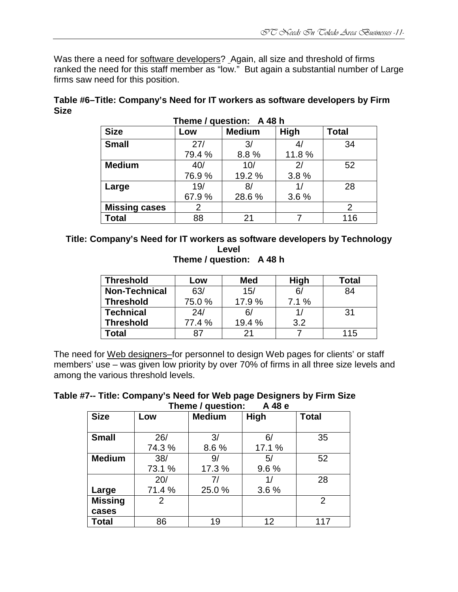Was there a need for software developers? Again, all size and threshold of firms ranked the need for this staff member as "low." But again a substantial number of Large firms saw need for this position.

| Table #6–Title: Company's Need for IT workers as software developers by Firm |  |
|------------------------------------------------------------------------------|--|
| <b>Size</b>                                                                  |  |
| Thoma / cuccion, A 40 h                                                      |  |

| <b>Size</b>          | Low    | <b>Medium</b> | High  | <b>Total</b> |
|----------------------|--------|---------------|-------|--------------|
| <b>Small</b>         | 27/    | 3/            |       | 34           |
|                      | 79.4 % | 8.8%          | 11.8% |              |
| <b>Medium</b>        | 40/    | 10/           | 2/    | 52           |
|                      | 76.9%  | 19.2 %        | 3.8%  |              |
| Large                | 19/    | 8/            |       | 28           |
|                      | 67.9%  | 28.6%         | 3.6%  |              |
| <b>Missing cases</b> | 2      |               |       | 2            |
| <b>Total</b>         | 88     | 21            |       | 116          |

## **Title: Company's Need for IT workers as software developers by Technology Level**

**Theme / question: A 48 h** 

| <b>Threshold</b>     | LOW    | <b>Med</b> | <b>High</b> | Total |
|----------------------|--------|------------|-------------|-------|
| <b>Non-Technical</b> | 63/    | 15/        | 6/          | 84    |
| <b>Threshold</b>     | 75.0%  | 17.9%      | 7.1%        |       |
| <b>Technical</b>     | 24/    | 6/         |             | 31    |
| <b>Threshold</b>     | 77.4 % | 19.4 %     | 3.2         |       |
| 'otal                | 87     | 21         |             | 115   |

The need for Web designers–for personnel to design Web pages for clients' or staff members' use – was given low priority by over 70% of firms in all three size levels and among the various threshold levels.

#### **Table #7-- Title: Company's Need for Web page Designers by Firm Size Theme / question: A 48 e**

| <b>Size</b>    | Low           | <b>Medium</b> | High         | <b>Total</b>   |  |  |  |
|----------------|---------------|---------------|--------------|----------------|--|--|--|
| <b>Small</b>   | 26/<br>74.3 % | 3/<br>8.6%    | 6/<br>17.1 % | 35             |  |  |  |
| <b>Medium</b>  | 38/           | 9/            | 5/           | 52             |  |  |  |
|                | 73.1 %<br>20/ | 17.3 %<br>7/  | 9.6%<br>1/   | 28             |  |  |  |
| Large          | 71.4 %        | 25.0%         | 3.6%         |                |  |  |  |
| <b>Missing</b> | 2             |               |              | $\overline{2}$ |  |  |  |
| cases          |               |               |              |                |  |  |  |
| <b>Total</b>   | 86            | 19            | 12           | 117            |  |  |  |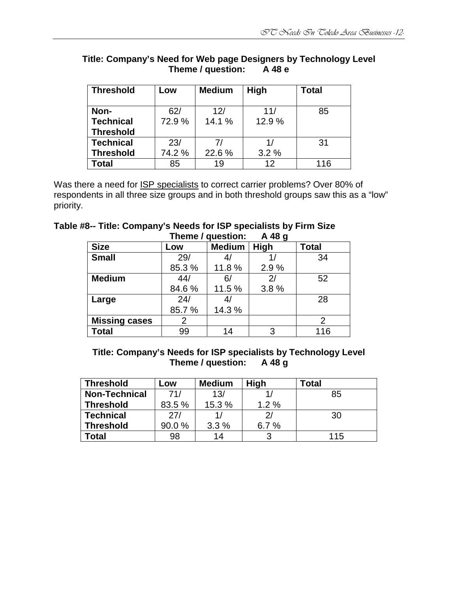| <b>Threshold</b> | Low    | <b>Medium</b> | <b>High</b> | <b>Total</b> |
|------------------|--------|---------------|-------------|--------------|
| Non-             | 62/    | 12/           | 11/         | 85           |
| <b>Technical</b> | 72.9 % | 14.1 %        | 12.9%       |              |
| <b>Threshold</b> |        |               |             |              |
| <b>Technical</b> | 23/    |               |             | 31           |
| <b>Threshold</b> | 74.2 % | 22.6%         | 3.2%        |              |
| Total            | 85     | 19            | 12          | 116          |

#### **Title: Company's Need for Web page Designers by Technology Level Theme / question:**

Was there a need for ISP specialists to correct carrier problems? Over 80% of respondents in all three size groups and in both threshold groups saw this as a "low" priority.

#### **Table #8-- Title: Company's Needs for ISP specialists by Firm Size Theme / question: A 48 g**

|                      |       |               | ັ            |              |
|----------------------|-------|---------------|--------------|--------------|
| <b>Size</b>          | Low   | <b>Medium</b> | <b>High</b>  | <b>Total</b> |
| <b>Small</b>         | 29/   | 4/            |              | 34           |
|                      | 85.3% | 11.8%         | 2.9%         |              |
| <b>Medium</b>        | 44/   | 6/            | $\mathbf{2}$ | 52           |
|                      | 84.6% | 11.5 %        | 3.8%         |              |
| Large                | 24/   | 4/            |              | 28           |
|                      | 85.7% | 14.3 %        |              |              |
| <b>Missing cases</b> | 2     |               |              | 2            |
| <b>Total</b>         | 99    | 14            | 3            | 116          |

#### **Title: Company's Needs for ISP specialists by Technology Level Theme / question:**

| <b>Threshold</b>     | Low    | <b>Medium</b> | <b>High</b> | Total |
|----------------------|--------|---------------|-------------|-------|
| <b>Non-Technical</b> | 71/    | 13/           |             | 85    |
| <b>Threshold</b>     | 83.5 % | 15.3 %        | 1.2%        |       |
| <b>Technical</b>     | 27/    |               | 21          | 30    |
| <b>Threshold</b>     | 90.0%  | 3.3%          | 6.7%        |       |
| Гоtal                | 98     | 14            | ર           | 115   |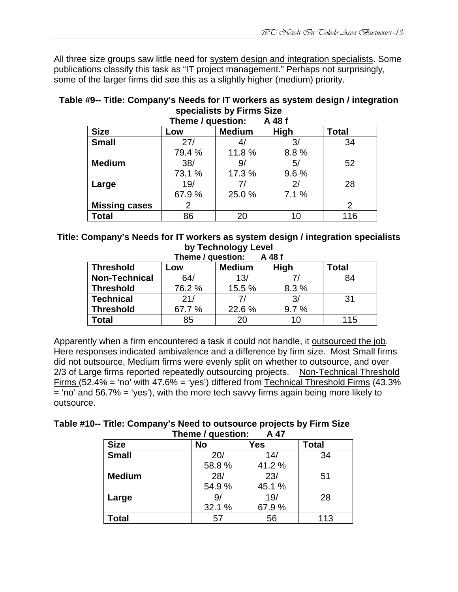All three size groups saw little need for system design and integration specialists. Some publications classify this task as "IT project management." Perhaps not surprisingly, some of the larger firms did see this as a slightly higher (medium) priority.

## **Table #9-- Title: Company's Needs for IT workers as system design / integration specialists by Firms Size**

| A 48 f<br>Theme / question: |                |        |      |                |  |
|-----------------------------|----------------|--------|------|----------------|--|
| <b>Size</b>                 | <b>Total</b>   |        |      |                |  |
| <b>Small</b>                | 27/            | 4/     | 3/   | 34             |  |
|                             | 79.4 %         | 11.8 % | 8.8% |                |  |
| <b>Medium</b>               | 38/            | 9/     | 5/   | 52             |  |
|                             | 73.1 %         | 17.3 % | 9.6% |                |  |
| Large                       | 19/            | 7/     | 2/   | 28             |  |
|                             | 67.9%          | 25.0%  | 7.1% |                |  |
| <b>Missing cases</b>        | $\overline{2}$ |        |      | $\overline{2}$ |  |
| <b>Total</b>                | 86             | 20     | 10   | 116            |  |

## **Title: Company's Needs for IT workers as system design / integration specialists by Technology Level**

| A 48 f<br>Theme / question:                                      |       |        |      |     |  |  |  |  |
|------------------------------------------------------------------|-------|--------|------|-----|--|--|--|--|
| <b>High</b><br><b>Medium</b><br><b>Threshold</b><br>Total<br>_OW |       |        |      |     |  |  |  |  |
| <b>Non-Technical</b>                                             | 64/   | 13/    |      | 84  |  |  |  |  |
| <b>Threshold</b>                                                 | 76.2% | 15.5 % | 8.3% |     |  |  |  |  |
| <b>Technical</b>                                                 | 21/   | 71     | 3/   | -31 |  |  |  |  |
| 22.6 %<br><b>Threshold</b><br>67.7 %<br>9.7%                     |       |        |      |     |  |  |  |  |
| Total                                                            | 85    | 20     | 10   | 115 |  |  |  |  |

Apparently when a firm encountered a task it could not handle, it outsourced the job. Here responses indicated ambivalence and a difference by firm size. Most Small firms did not outsource, Medium firms were evenly split on whether to outsource, and over 2/3 of Large firms reported repeatedly outsourcing projects. Non-Technical Threshold Firms (52.4% = 'no' with  $47.6\%$  = 'yes') differed from Technical Threshold Firms (43.3%  $=$  'no' and 56.7%  $=$  'yes'), with the more tech savvy firms again being more likely to outsource.

| Table #10-- Title: Company's Need to outsource projects by Firm Size |        |  |
|----------------------------------------------------------------------|--------|--|
| Theme / question:                                                    | - A 47 |  |

| <b>Size</b>   | <b>No</b> | Yes   | Total |
|---------------|-----------|-------|-------|
| <b>Small</b>  | 20/       | 14/   | 34    |
|               | 58.8%     | 41.2% |       |
| <b>Medium</b> | 28/       | 23/   | 51    |
|               | 54.9%     | 45.1% |       |
| Large         | 9,        | 19/   | 28    |
|               | 32.1 %    | 67.9% |       |
| Total         | 57        | 56    | 113   |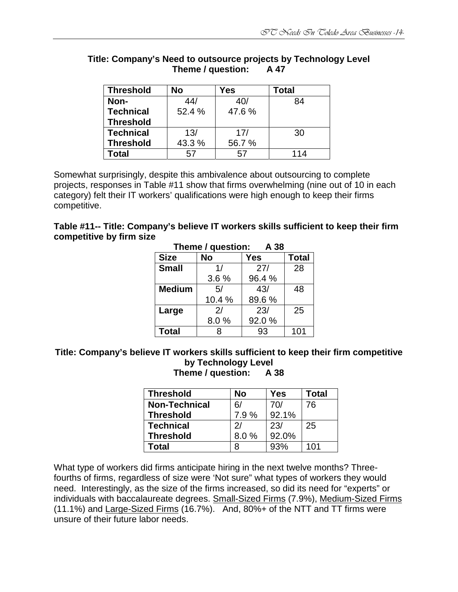| <b>Threshold</b> | No     | Yes   | Total |
|------------------|--------|-------|-------|
| Non-             | 44/    | 40/   | 84    |
| <b>Technical</b> | 52.4 % | 47.6% |       |
| <b>Threshold</b> |        |       |       |
| <b>Technical</b> | 13/    | 17/   | 30    |
| <b>Threshold</b> | 43.3%  | 56.7% |       |
| Total            | 57     | 57    | 114   |

#### **Title: Company's Need to outsource projects by Technology Level Theme / question: A 47**

Somewhat surprisingly, despite this ambivalence about outsourcing to complete projects, responses in Table #11 show that firms overwhelming (nine out of 10 in each category) felt their IT workers' qualifications were high enough to keep their firms competitive.

| Table #11-- Title: Company's believe IT workers skills sufficient to keep their firm |  |
|--------------------------------------------------------------------------------------|--|
| competitive by firm size                                                             |  |

| Theme / question:<br>A 38 |           |              |     |  |  |
|---------------------------|-----------|--------------|-----|--|--|
| <b>Size</b>               | <b>No</b> | <b>Total</b> |     |  |  |
| <b>Small</b>              | 1/        | 27/          | 28  |  |  |
|                           | 3.6%      | 96.4%        |     |  |  |
| <b>Medium</b>             | 5/        | 43/          | 48  |  |  |
|                           | 10.4 %    | 89.6%        |     |  |  |
| Large                     | 2/        | 23/          | 25  |  |  |
|                           | 8.0%      | 92.0%        |     |  |  |
| <b>Total</b>              | x         | 93           | 101 |  |  |

# **Title: Company's believe IT workers skills sufficient to keep their firm competitive by Technology Level**

**Theme / question: A 38** 

| <b>Threshold</b>     | No            | Yes   | <b>Total</b> |
|----------------------|---------------|-------|--------------|
| <b>Non-Technical</b> | 6/            | 70/   | 76           |
| ∣ Threshold          | 7.9%          | 92.1% |              |
| ∣ Technical          | $\mathcal{D}$ | 23/   | 25           |
| <b>Threshold</b>     | 8.0%          | 92.0% |              |
| Total                | 8             | 93%   | 101          |

What type of workers did firms anticipate hiring in the next twelve months? Threefourths of firms, regardless of size were 'Not sure" what types of workers they would need. Interestingly, as the size of the firms increased, so did its need for "experts" or individuals with baccalaureate degrees. Small-Sized Firms (7.9%), Medium-Sized Firms (11.1%) and Large-Sized Firms (16.7%). And, 80%+ of the NTT and TT firms were unsure of their future labor needs.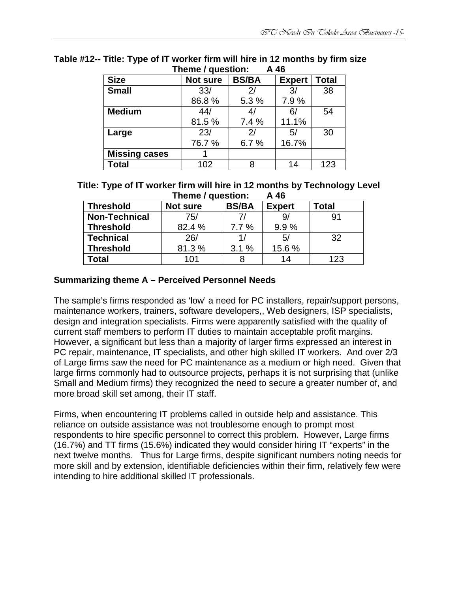| $111$ c $11$ c $7$ yuc $3$ livii.<br>14 40 |                 |              |               |              |  |
|--------------------------------------------|-----------------|--------------|---------------|--------------|--|
| <b>Size</b>                                | <b>Not sure</b> | <b>BS/BA</b> | <b>Expert</b> | <b>Total</b> |  |
| <b>Small</b>                               | 33/             | 2/           | 3/            | 38           |  |
|                                            | 86.8%           | 5.3 %        | 7.9%          |              |  |
| <b>Medium</b>                              | 44/             | 4/           | 6/            | 54           |  |
|                                            | 81.5%           | 7.4%         | 11.1%         |              |  |
| Large                                      | 23/             | 2/           | 5/            | 30           |  |
|                                            | 76.7 %          | 6.7%         | 16.7%         |              |  |
| <b>Missing cases</b>                       |                 |              |               |              |  |
| <b>Total</b>                               | 102             | 8            | 14            | 123          |  |

#### **Table #12-- Title: Type of IT worker firm will hire in 12 months by firm size Theme** / question:

**Title: Type of IT worker firm will hire in 12 months by Technology Level Theme / question: A 46** 

| <b>Threshold</b>     | <b>Not sure</b> | <b>BS/BA</b> | <b>Expert</b> | Total |
|----------------------|-----------------|--------------|---------------|-------|
| <b>Non-Technical</b> | 75/             | 71           | 9/            | 91    |
| <b>Threshold</b>     | 82.4 %          | 7.7%         | 9.9%          |       |
| <b>Technical</b>     | 26/             | 1.           | 5/            | 32    |
| <b>Threshold</b>     | 81.3%           | 3.1%         | 15.6 %        |       |
| <b>c</b> otal        | 101             |              | 14            | 123   |

## **Summarizing theme A – Perceived Personnel Needs**

The sample's firms responded as 'low' a need for PC installers, repair/support persons, maintenance workers, trainers, software developers,, Web designers, ISP specialists, design and integration specialists. Firms were apparently satisfied with the quality of current staff members to perform IT duties to maintain acceptable profit margins. However, a significant but less than a majority of larger firms expressed an interest in PC repair, maintenance, IT specialists, and other high skilled IT workers. And over 2/3 of Large firms saw the need for PC maintenance as a medium or high need. Given that large firms commonly had to outsource projects, perhaps it is not surprising that (unlike Small and Medium firms) they recognized the need to secure a greater number of, and more broad skill set among, their IT staff.

Firms, when encountering IT problems called in outside help and assistance. This reliance on outside assistance was not troublesome enough to prompt most respondents to hire specific personnel to correct this problem. However, Large firms (16.7%) and TT firms (15.6%) indicated they would consider hiring IT "experts" in the next twelve months. Thus for Large firms, despite significant numbers noting needs for more skill and by extension, identifiable deficiencies within their firm, relatively few were intending to hire additional skilled IT professionals.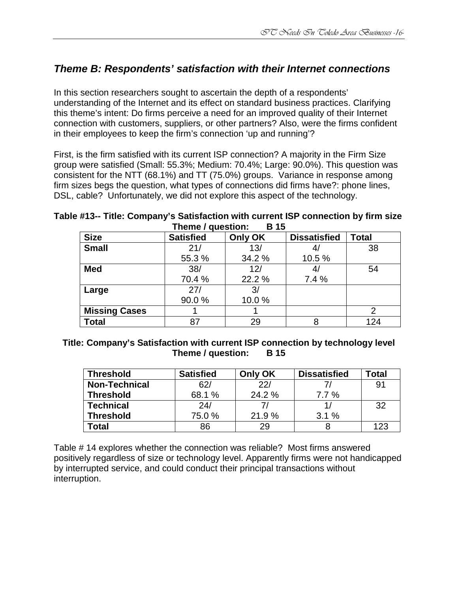# **Theme B: Respondents' satisfaction with their Internet connections**

In this section researchers sought to ascertain the depth of a respondents' understanding of the Internet and its effect on standard business practices. Clarifying this theme's intent: Do firms perceive a need for an improved quality of their Internet connection with customers, suppliers, or other partners? Also, were the firms confident in their employees to keep the firm's connection 'up and running'?

First, is the firm satisfied with its current ISP connection? A majority in the Firm Size group were satisfied (Small: 55.3%; Medium: 70.4%; Large: 90.0%). This question was consistent for the NTT (68.1%) and TT (75.0%) groups. Variance in response among firm sizes begs the question, what types of connections did firms have?: phone lines, DSL, cable? Unfortunately, we did not explore this aspect of the technology.

**Table #13-- Title: Company's Satisfaction with current ISP connection by firm size**  Theme / question: R 15

| $\cdots$ . $\cdots$ , as $\cdots$ |                  |         |                     |              |
|-----------------------------------|------------------|---------|---------------------|--------------|
| <b>Size</b>                       | <b>Satisfied</b> | Only OK | <b>Dissatisfied</b> | <b>Total</b> |
| <b>Small</b>                      | 21/              | 13/     |                     | 38           |
|                                   | 55.3 %           | 34.2 %  | 10.5 %              |              |
| <b>Med</b>                        | 38/              | 12/     |                     | 54           |
|                                   | 70.4 %           | 22.2 %  | 7.4 %               |              |
| Large                             | 27/              | 3/      |                     |              |
|                                   | 90.0%            | 10.0%   |                     |              |
| <b>Missing Cases</b>              |                  |         |                     |              |
| Total                             | 87               | 29      |                     | 124          |

#### **Title: Company's Satisfaction with current ISP connection by technology level Theme / question: B 15**

| <b>Threshold</b>     | <b>Satisfied</b> | Only OK | <b>Dissatisfied</b> | Total |
|----------------------|------------------|---------|---------------------|-------|
| <b>Non-Technical</b> | 62/              | 22/     |                     | 91    |
| <b>Threshold</b>     | 68.1 %           | 24.2 %  | 7.7%                |       |
| <b>Technical</b>     | 24/              |         |                     | 32    |
| <b>Threshold</b>     | 75.0 %           | 21.9%   | 3.1%                |       |
| Total                | 86               | 29      |                     | 123   |

Table # 14 explores whether the connection was reliable? Most firms answered positively regardless of size or technology level. Apparently firms were not handicapped by interrupted service, and could conduct their principal transactions without interruption.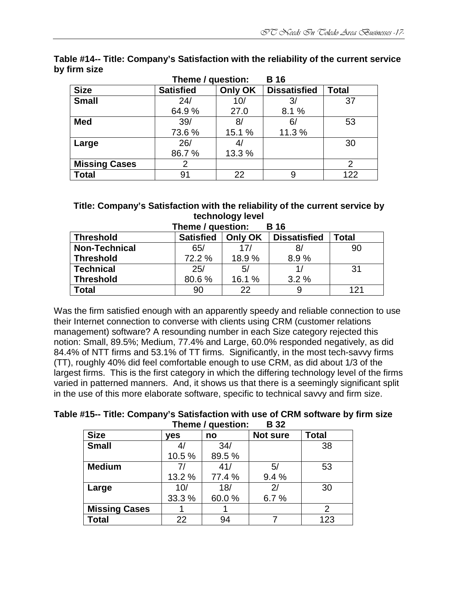|                      | Theme / question: |         | <b>B</b> 16         |              |
|----------------------|-------------------|---------|---------------------|--------------|
| <b>Size</b>          | <b>Satisfied</b>  | Only OK | <b>Dissatisfied</b> | <b>Total</b> |
| <b>Small</b>         | 24/               | 10/     | 3/                  | 37           |
|                      | 64.9%             | 27.0    | 8.1 %               |              |
| <b>Med</b>           | 39/               | 8/      | 6/                  | 53           |
|                      | 73.6%             | 15.1 %  | 11.3 %              |              |
| Large                | 26/               | 4/      |                     | 30           |
|                      | 86.7%             | 13.3 %  |                     |              |
| <b>Missing Cases</b> | 2                 |         |                     | 2            |
| <b>Total</b>         | 91                | 22      | 9                   | 122          |

**Table #14-- Title: Company's Satisfaction with the reliability of the current service by firm size** 

## **Title: Company's Satisfaction with the reliability of the current service by technology level**

| Theme / question:<br><b>B</b> 16                                                       |        |        |              |     |  |  |  |
|----------------------------------------------------------------------------------------|--------|--------|--------------|-----|--|--|--|
| <b>Satisfied</b><br><b>Dissatisfied</b><br>Only OK<br><b>Threshold</b><br><b>Total</b> |        |        |              |     |  |  |  |
| <b>Non-Technical</b>                                                                   | 65/    | 17/    | 8,           | 90  |  |  |  |
| <b>Threshold</b>                                                                       | 72.2 % | 18.9%  | 8.9%         |     |  |  |  |
| <b>Technical</b>                                                                       | 25/    | 5/     | $\mathbf{1}$ | 31  |  |  |  |
| <b>Threshold</b>                                                                       | 80.6%  | 16.1 % | 3.2%         |     |  |  |  |
| <b>Total</b>                                                                           | 90     | 22     | 9            | 121 |  |  |  |

Was the firm satisfied enough with an apparently speedy and reliable connection to use their Internet connection to converse with clients using CRM (customer relations management) software? A resounding number in each Size category rejected this notion: Small, 89.5%; Medium, 77.4% and Large, 60.0% responded negatively, as did 84.4% of NTT firms and 53.1% of TT firms. Significantly, in the most tech-savvy firms (TT), roughly 40% did feel comfortable enough to use CRM, as did about 1/3 of the largest firms. This is the first category in which the differing technology level of the firms varied in patterned manners. And, it shows us that there is a seemingly significant split in the use of this more elaborate software, specific to technical savvy and firm size.

**Table #15-- Title: Company's Satisfaction with use of CRM software by firm size Theme / question: B 32** 

| <b>Size</b>          | yes    | no     | Not sure | <b>Total</b> |
|----------------------|--------|--------|----------|--------------|
| <b>Small</b>         |        | 34/    |          | 38           |
|                      | 10.5%  | 89.5%  |          |              |
| <b>Medium</b>        | 71     | 41/    | 5/       | 53           |
|                      | 13.2 % | 77.4 % | 9.4%     |              |
| Large                | 10/    | 18/    |          | 30           |
|                      | 33.3 % | 60.0%  | 6.7%     |              |
| <b>Missing Cases</b> |        |        |          | 2            |
| <b>Total</b>         | 22     | 94     |          | 123          |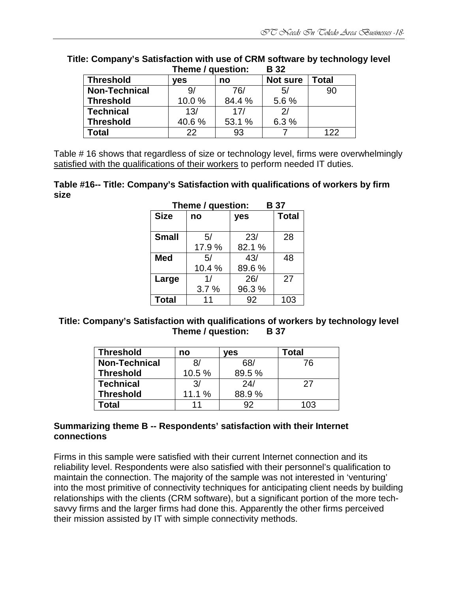|                      |       | Theme / question: |                |       |
|----------------------|-------|-------------------|----------------|-------|
| <b>Threshold</b>     | ves   | no                | Not sure       | Total |
| <b>Non-Technical</b> |       | 76/               | 5/             | 90    |
| <b>Threshold</b>     | 10.0% | 84.4 %            | 5.6%           |       |
| <b>Technical</b>     | 13/   | 17/               | $\mathcal{D}/$ |       |
| <b>Threshold</b>     | 40.6% | 53.1 %            | 6.3%           |       |
| Total                | 22    | 93                |                | 122   |

# **Title: Company's Satisfaction with use of CRM software by technology level**

Table # 16 shows that regardless of size or technology level, firms were overwhelmingly satisfied with the qualifications of their workers to perform needed IT duties.

#### **Table #16-- Title: Company's Satisfaction with qualifications of workers by firm size**

| Theme / question:<br><b>B</b> 37 |       |                     |     |  |
|----------------------------------|-------|---------------------|-----|--|
| <b>Size</b>                      | no    | <b>Total</b><br>yes |     |  |
| <b>Small</b>                     | 5/    | 23/                 | 28  |  |
|                                  | 17.9% | 82.1%               |     |  |
| <b>Med</b>                       | 5/    | 43/                 | 48  |  |
|                                  | 10.4% | 89.6%               |     |  |
| Large                            | 1/    | 26/                 | 27  |  |
|                                  | 3.7%  | 96.3%               |     |  |
| <b>Total</b>                     | 11    | 92                  | 103 |  |

#### **Title: Company's Satisfaction with qualifications of workers by technology level Theme / question: B 37**

| <b>Threshold</b>     | no            | ves    | Total |
|----------------------|---------------|--------|-------|
| <b>Non-Technical</b> | 81            | 68/    | 76    |
| <b>Threshold</b>     | 10.5%         | 89.5 % |       |
| <b>Technical</b>     | $\mathcal{R}$ | 24/    | 27    |
| <b>Threshold</b>     | 11.1 %        | 88.9%  |       |
| 'otal                |               | Q2     | 103   |

#### **Summarizing theme B -- Respondents' satisfaction with their Internet connections**

Firms in this sample were satisfied with their current Internet connection and its reliability level. Respondents were also satisfied with their personnel's qualification to maintain the connection. The majority of the sample was not interested in 'venturing' into the most primitive of connectivity techniques for anticipating client needs by building relationships with the clients (CRM software), but a significant portion of the more techsavvy firms and the larger firms had done this. Apparently the other firms perceived their mission assisted by IT with simple connectivity methods.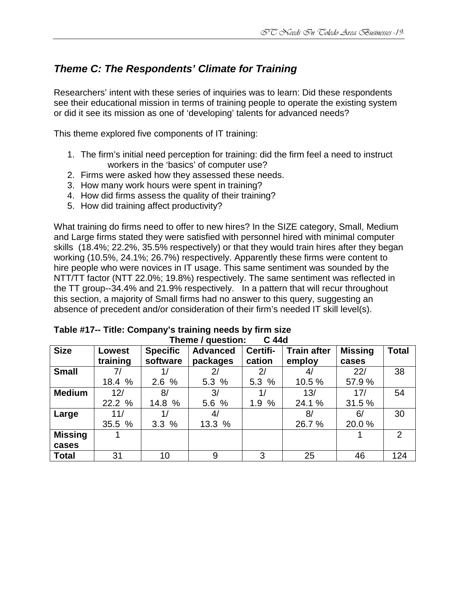# **Theme C: The Respondents' Climate for Training**

Researchers' intent with these series of inquiries was to learn: Did these respondents see their educational mission in terms of training people to operate the existing system or did it see its mission as one of 'developing' talents for advanced needs?

This theme explored five components of IT training:

- 1. The firm's initial need perception for training: did the firm feel a need to instruct workers in the 'basics' of computer use?
- 2. Firms were asked how they assessed these needs.
- 3. How many work hours were spent in training?
- 4. How did firms assess the quality of their training?
- 5. How did training affect productivity?

What training do firms need to offer to new hires? In the SIZE category, Small, Medium and Large firms stated they were satisfied with personnel hired with minimal computer skills (18.4%; 22.2%, 35.5% respectively) or that they would train hires after they began working (10.5%, 24.1%; 26.7%) respectively. Apparently these firms were content to hire people who were novices in IT usage. This same sentiment was sounded by the NTT/TT factor (NTT 22.0%; 19.8%) respectively. The same sentiment was reflected in the TT group--34.4% and 21.9% respectively. In a pattern that will recur throughout this section, a majority of Small firms had no answer to this query, suggesting an absence of precedent and/or consideration of their firm's needed IT skill level(s).

|                | $\overline{\phantom{a}}$ licine / question.<br>v 440 |                 |                 |                |                    |                |              |  |  |  |
|----------------|------------------------------------------------------|-----------------|-----------------|----------------|--------------------|----------------|--------------|--|--|--|
| <b>Size</b>    | <b>Lowest</b>                                        | <b>Specific</b> | <b>Advanced</b> | Certifi-       | <b>Train after</b> | <b>Missing</b> | <b>Total</b> |  |  |  |
|                | training                                             | software        | packages        | cation         | employ             | cases          |              |  |  |  |
| <b>Small</b>   |                                                      |                 | 2 <sub>1</sub>  | 2 <sup>1</sup> |                    | 22/            | 38           |  |  |  |
|                | 18.4 %                                               | 2.6%            | 5.3%            | 5.3 %          | 10.5 %             | 57.9 %         |              |  |  |  |
| <b>Medium</b>  | 12/                                                  | 8/              | 3/              | 1/             | 13/                | 17/            | 54           |  |  |  |
|                | 22.2 %                                               | 14.8 %          | 5.6 %           | 1.9%           | 24.1 %             | 31.5%          |              |  |  |  |
| Large          | 11/                                                  |                 | 4/              |                | 8/                 | 6/             | 30           |  |  |  |
|                | 35.5 %                                               | 3.3%            | 13.3 %          |                | 26.7 %             | 20.0%          |              |  |  |  |
| <b>Missing</b> |                                                      |                 |                 |                |                    |                | 2            |  |  |  |
| cases          |                                                      |                 |                 |                |                    |                |              |  |  |  |
| <b>Total</b>   | 31                                                   | 10              | 9               | 3              | 25                 | 46             | 124          |  |  |  |

| Table #17-- Title: Company's training needs by firm size |                         |  |  |
|----------------------------------------------------------|-------------------------|--|--|
|                                                          | Thoma / guastion: C 44d |  |  |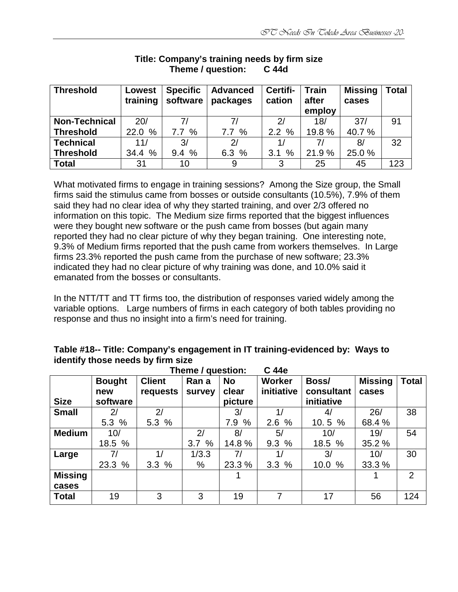| <b>Threshold</b>     | Lowest   | <b>Specific</b> | <b>Advanced</b> | Certifi-       | <b>Train</b> | <b>Missing</b> | <b>Total</b> |
|----------------------|----------|-----------------|-----------------|----------------|--------------|----------------|--------------|
|                      | training | software        | packages        | cation         | after        | cases          |              |
|                      |          |                 |                 |                | employ       |                |              |
| <b>Non-Technical</b> | 20/      | 71              | 71              | $\mathcal{D}/$ | 18/          | 37/            | 91           |
| <b>Threshold</b>     | 22.0 %   | 7.7%            | 7.7%            | 2.2%           | 19.8%        | 40.7 %         |              |
| <b>Technical</b>     | 11/      | 3/              | 2/              | 1/             |              | 8/             | 32           |
| <b>Threshold</b>     | 34.4 %   | 9.4%            | 6.3%            | %<br>3.1       | 21.9%        | 25.0 %         |              |
| <b>Total</b>         | 31       | 10              | 9               | 3              | 25           | 45             | 123          |

#### **Title: Company's training needs by firm size Theme / question: C 44d**

What motivated firms to engage in training sessions? Among the Size group, the Small firms said the stimulus came from bosses or outside consultants (10.5%), 7.9% of them said they had no clear idea of why they started training, and over 2/3 offered no information on this topic. The Medium size firms reported that the biggest influences were they bought new software or the push came from bosses (but again many reported they had no clear picture of why they began training. One interesting note, 9.3% of Medium firms reported that the push came from workers themselves. In Large firms 23.3% reported the push came from the purchase of new software; 23.3% indicated they had no clear picture of why training was done, and 10.0% said it emanated from the bosses or consultants.

In the NTT/TT and TT firms too, the distribution of responses varied widely among the variable options. Large numbers of firms in each category of both tables providing no response and thus no insight into a firm's need for training.

#### **Table #18-- Title: Company's engagement in IT training-evidenced by: Ways to identify those needs by firm size**

|                | C 44e<br>Theme / question: |               |        |           |               |            |                |              |  |  |  |
|----------------|----------------------------|---------------|--------|-----------|---------------|------------|----------------|--------------|--|--|--|
|                | <b>Bought</b>              | <b>Client</b> | Ran a  | <b>No</b> | <b>Worker</b> | Boss/      | <b>Missing</b> | <b>Total</b> |  |  |  |
|                | new                        | requests      | survey | clear     | initiative    | consultant | cases          |              |  |  |  |
| <b>Size</b>    | software                   |               |        | picture   |               | initiative |                |              |  |  |  |
| <b>Small</b>   | 2 <sub>l</sub>             | 2/            |        | 3/        | 1/            | 4/         | 26/            | 38           |  |  |  |
|                | 5.3%                       | 5.3 %         |        | 7.9 %     | %<br>2.6      | 10.5%      | 68.4 %         |              |  |  |  |
| <b>Medium</b>  | 10/                        |               | 2/     | 8/        | 5/            | 10/        | 19/            | 54           |  |  |  |
|                | 18.5 %                     |               | 3.7%   | 14.8%     | 9.3%          | 18.5 %     | 35.2 %         |              |  |  |  |
| Large          | 7/                         | 1/            | 1/3.3  | 7/        | 1/            | 3/         | 10/            | 30           |  |  |  |
|                | 23.3 %                     | 3.3%          | %      | 23.3 %    | 3.3%          | 10.0%      | 33.3 %         |              |  |  |  |
| <b>Missing</b> |                            |               |        |           |               |            |                | 2            |  |  |  |
| cases          |                            |               |        |           |               |            |                |              |  |  |  |
| <b>Total</b>   | 19                         | 3             | 3      | 19        | 7             | 17         | 56             | 124          |  |  |  |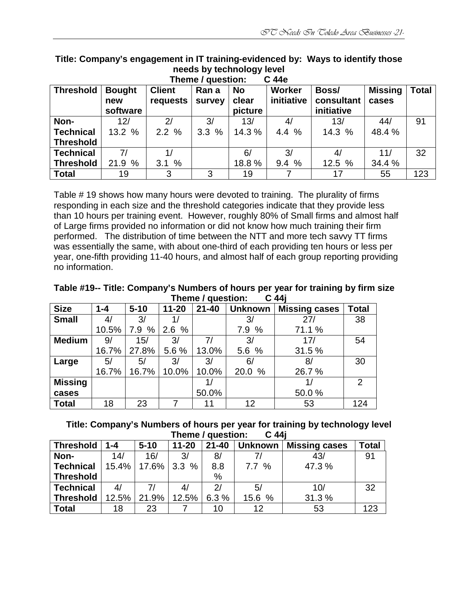| C 44e<br>Theme / question: |               |               |        |           |            |            |                |              |  |  |
|----------------------------|---------------|---------------|--------|-----------|------------|------------|----------------|--------------|--|--|
| <b>Threshold</b>           | <b>Bought</b> | <b>Client</b> | Ran a  | <b>No</b> | Worker     | Boss/      | <b>Missing</b> | <b>Total</b> |  |  |
|                            | new           | requests      | survey | clear     | initiative | consultant | cases          |              |  |  |
|                            | software      |               |        | picture   |            | initiative |                |              |  |  |
| Non-                       | 12/           | 2/            | 3/     | 13/       | 4/         | 13/        | 44/            | 91           |  |  |
| <b>Technical</b>           | 13.2 %        | 2.2%          | 3.3%   | 14.3%     | 4.4 %      | 14.3 %     | 48.4 %         |              |  |  |
| <b>Threshold</b>           |               |               |        |           |            |            |                |              |  |  |
| <b>Technical</b>           | 7/            |               |        | 6/        | 3/         | 4/         | 11/            | 32           |  |  |
| <b>Threshold</b>           | 21.9 %        | 3.1%          |        | 18.8%     | 9.4%       | 12.5 %     | 34.4 %         |              |  |  |
| <b>Total</b>               | 19            | 3             | 3      | 19        |            | 17         | 55             | 123          |  |  |

**Title: Company's engagement in IT training-evidenced by: Ways to identify those needs by technology level** 

Table # 19 shows how many hours were devoted to training. The plurality of firms responding in each size and the threshold categories indicate that they provide less than 10 hours per training event. However, roughly 80% of Small firms and almost half of Large firms provided no information or did not know how much training their firm performed. The distribution of time between the NTT and more tech savvy TT firms was essentially the same, with about one-third of each providing ten hours or less per year, one-fifth providing 11-40 hours, and almost half of each group reporting providing no information.

**Table #19-- Title: Company's Numbers of hours per year for training by firm size Theme / question: C 44j** 

|                | $11011101$ yuudilu<br>v TTI |          |           |           |                |                      |                |  |  |
|----------------|-----------------------------|----------|-----------|-----------|----------------|----------------------|----------------|--|--|
| <b>Size</b>    | $1 - 4$                     | $5 - 10$ | $11 - 20$ | $21 - 40$ | <b>Unknown</b> | <b>Missing cases</b> | <b>Total</b>   |  |  |
| <b>Small</b>   | 4/                          | 3/       |           |           | 3/             | 27/                  | 38             |  |  |
|                | 10.5%                       | 7.9%     | 2.6%      |           | 7.9 %          | 71.1 %               |                |  |  |
| <b>Medium</b>  | 9/                          | 15/      | 3/        | 7/        | 3/             | 17/                  | 54             |  |  |
|                | 16.7%                       | 27.8%    | 5.6 %     | 13.0%     | 5.6 %          | 31.5 %               |                |  |  |
| Large          | 5/                          | 5/       | 3/        | 3/        | 6/             | 8/                   | 30             |  |  |
|                | 16.7%                       | 16.7%    | 10.0%     | 10.0%     | 20.0 %         | 26.7%                |                |  |  |
| <b>Missing</b> |                             |          |           |           |                |                      | $\overline{2}$ |  |  |
| cases          |                             |          |           | 50.0%     |                | 50.0%                |                |  |  |
| <b>Total</b>   | 18                          | 23       | 7         | 11        | 12             | 53                   | 124            |  |  |

**Title: Company's Numbers of hours per year for training by technology level Theme / question: C 44j**

| <b>Threshold</b> | $1 - 4$  | $5 - 10$    | $11 - 20$ | $21 - 40$ | <b>Unknown</b> | <b>Missing cases</b> | <b>Total</b> |
|------------------|----------|-------------|-----------|-----------|----------------|----------------------|--------------|
| Non-             | 14/      | 16/         | 3/        | 8/        | 71             | 43/                  | 91           |
| Technical        |          | 15.4% 17.6% | 3.3%      | 8.8       | 7.7%           | 47.3%                |              |
| <b>Threshold</b> |          |             |           | %         |                |                      |              |
| <b>Technical</b> | 4/       |             |           | 2l        | 5/             | 10/                  | 32           |
| <b>Threshold</b> | $12.5\%$ | 21.9%       | 12.5%     | 6.3%      | 15.6 %         | 31.3%                |              |
| <b>Total</b>     | 18       | 23          |           | 10        | 12             | 53                   | 123          |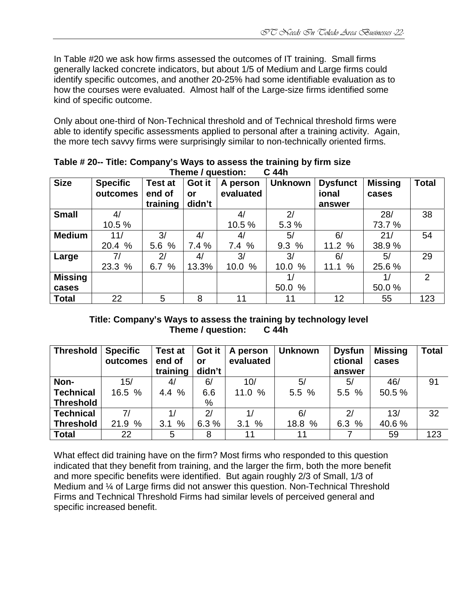In Table #20 we ask how firms assessed the outcomes of IT training. Small firms generally lacked concrete indicators, but about 1/5 of Medium and Large firms could identify specific outcomes, and another 20-25% had some identifiable evaluation as to how the courses were evaluated. Almost half of the Large-size firms identified some kind of specific outcome.

Only about one-third of Non-Technical threshold and of Technical threshold firms were able to identify specific assessments applied to personal after a training activity. Again, the more tech savvy firms were surprisingly similar to non-technically oriented firms.

|                |                 |                | <b>Illelile / Guestion.</b> |           | v 4411         |                 |                |              |
|----------------|-----------------|----------------|-----------------------------|-----------|----------------|-----------------|----------------|--------------|
| <b>Size</b>    | <b>Specific</b> | <b>Test at</b> | Got it                      | A person  | <b>Unknown</b> | <b>Dysfunct</b> | <b>Missing</b> | <b>Total</b> |
|                | outcomes        | end of         | or                          | evaluated |                | ional           | cases          |              |
|                |                 | training       | didn't                      |           |                | answer          |                |              |
| <b>Small</b>   | 4/              |                |                             | 4/        | 2/             |                 | 28/            | 38           |
|                | 10.5%           |                |                             | 10.5 %    | 5.3 %          |                 | 73.7 %         |              |
| <b>Medium</b>  | 11/             | 3/             | 4/                          | 4/        | 5/             | 6/              | 21/            | 54           |
|                | 20.4 %          | 5.6 %          | 7.4%                        | 7.4%      | 9.3%           | 11.2%           | 38.9%          |              |
| Large          | 7/              | 2/             | 4/                          | 3/        | 3/             | 6/              | 5/             | 29           |
|                | 23.3 %          | 6.7%           | 13.3%                       | 10.0 %    | 10.0 %         | 11.1%           | 25.6 %         |              |
| <b>Missing</b> |                 |                |                             |           |                |                 | 1/             | 2            |
| cases          |                 |                |                             |           | 50.0 %         |                 | 50.0%          |              |
| <b>Total</b>   | 22              | 5              | 8                           | 11        | 11             | 12              | 55             | 123          |

**Table # 20-- Title: Company's Ways to assess the training by firm size Thoma** / question:

## **Title: Company's Ways to assess the training by technology level Theme / question: C 44h**

| <b>Threshold</b> | <b>Specific</b><br>outcomes | <b>Test at</b><br>end of<br>training | Got it<br>or<br>didn't | A person<br>evaluated | <b>Unknown</b> | <b>Dysfun</b><br>ctional<br>answer | <b>Missing</b><br>cases | <b>Total</b> |
|------------------|-----------------------------|--------------------------------------|------------------------|-----------------------|----------------|------------------------------------|-------------------------|--------------|
|                  |                             |                                      |                        |                       |                |                                    |                         |              |
| Non-             | 15/                         | 4/                                   | 6/                     | 10/                   | 5/             | 5/                                 | 46/                     | 91           |
| <b>Technical</b> | 16.5 %                      | 4.4 %                                | 6.6                    | 11.0 $%$              | 5.5%           | 5.5%                               | 50.5 %                  |              |
| <b>Threshold</b> |                             |                                      | $\%$                   |                       |                |                                    |                         |              |
| <b>Technical</b> | 7/                          | 1/                                   | 2/                     | 1/                    | 6/             | 2/                                 | 13/                     | 32           |
| <b>Threshold</b> | 21.9 %                      | 3.1%                                 | 6.3%                   | 3.1%                  | 18.8 %         | 6.3%                               | 40.6%                   |              |
| <b>Total</b>     | 22                          | 5                                    | 8                      | 11                    | 11             |                                    | 59                      | 123          |

What effect did training have on the firm? Most firms who responded to this question indicated that they benefit from training, and the larger the firm, both the more benefit and more specific benefits were identified. But again roughly 2/3 of Small, 1/3 of Medium and ¼ of Large firms did not answer this question. Non-Technical Threshold Firms and Technical Threshold Firms had similar levels of perceived general and specific increased benefit.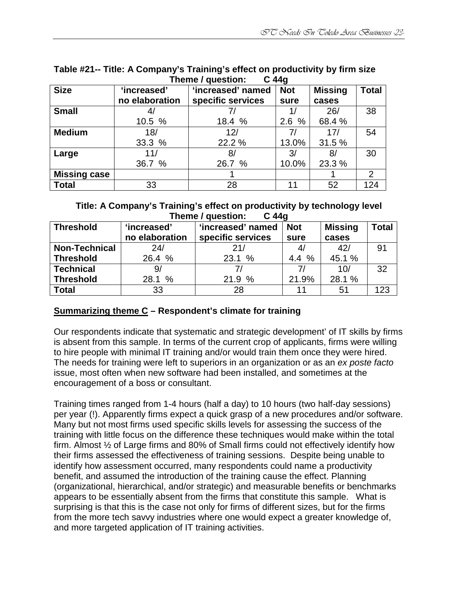|                     |                | $11011077$ autocation. | v + + v    |                |              |
|---------------------|----------------|------------------------|------------|----------------|--------------|
| <b>Size</b>         | 'increased'    | 'increased' named      | <b>Not</b> | <b>Missing</b> | <b>Total</b> |
|                     | no elaboration | specific services      | sure       | cases          |              |
| <b>Small</b>        |                |                        |            | 26/            | 38           |
|                     | 10.5 %         | 18.4 %                 | 2.6%       | 68.4 %         |              |
| <b>Medium</b>       | 18/            | 12/                    | 7/         | 17/            | 54           |
|                     | 33.3 %         | 22.2 %                 | 13.0%      | 31.5 %         |              |
| Large               | 11/            | 8/                     | 3/         | 8/             | 30           |
|                     | 36.7 %         | 26.7 %                 | 10.0%      | 23.3 %         |              |
| <b>Missing case</b> |                |                        |            |                | 2            |
| <b>Total</b>        | 33             | 28                     | 11         | 52             | 124          |

#### **Table #21-- Title: A Company's Training's effect on productivity by firm size Theme / question: C 44g**

#### **Title: A Company's Training's effect on productivity by technology level Theme / question: C 44g**

| Theme / question:<br>G 440 |                |                   |            |                |              |  |  |  |  |  |
|----------------------------|----------------|-------------------|------------|----------------|--------------|--|--|--|--|--|
| <b>Threshold</b>           | 'increased'    | 'increased' named | <b>Not</b> | <b>Missing</b> | <b>Total</b> |  |  |  |  |  |
|                            | no elaboration | specific services | sure       | cases          |              |  |  |  |  |  |
| <b>Non-Technical</b>       | 24/            | 21/               | 4/         | 42/            | 91           |  |  |  |  |  |
| <b>Threshold</b>           | 26.4 %         | 23.1 %            | 4.4%       | 45.1 %         |              |  |  |  |  |  |
| <b>Technical</b>           | 9/             |                   | 71         | 10/            | 32           |  |  |  |  |  |
| <b>Threshold</b>           | 28.1 %         | 21.9 %            | 21.9%      | 28.1 %         |              |  |  |  |  |  |
| <b>Total</b>               | 33             | 28                | 11         | 51             | 123          |  |  |  |  |  |

## **Summarizing theme C – Respondent's climate for training**

Our respondents indicate that systematic and strategic development' of IT skills by firms is absent from this sample. In terms of the current crop of applicants, firms were willing to hire people with minimal IT training and/or would train them once they were hired. The needs for training were left to superiors in an organization or as an ex poste facto issue, most often when new software had been installed, and sometimes at the encouragement of a boss or consultant.

Training times ranged from 1-4 hours (half a day) to 10 hours (two half-day sessions) per year (!). Apparently firms expect a quick grasp of a new procedures and/or software. Many but not most firms used specific skills levels for assessing the success of the training with little focus on the difference these techniques would make within the total firm. Almost ½ of Large firms and 80% of Small firms could not effectively identify how their firms assessed the effectiveness of training sessions. Despite being unable to identify how assessment occurred, many respondents could name a productivity benefit, and assumed the introduction of the training cause the effect. Planning (organizational, hierarchical, and/or strategic) and measurable benefits or benchmarks appears to be essentially absent from the firms that constitute this sample. What is surprising is that this is the case not only for firms of different sizes, but for the firms from the more tech savvy industries where one would expect a greater knowledge of, and more targeted application of IT training activities.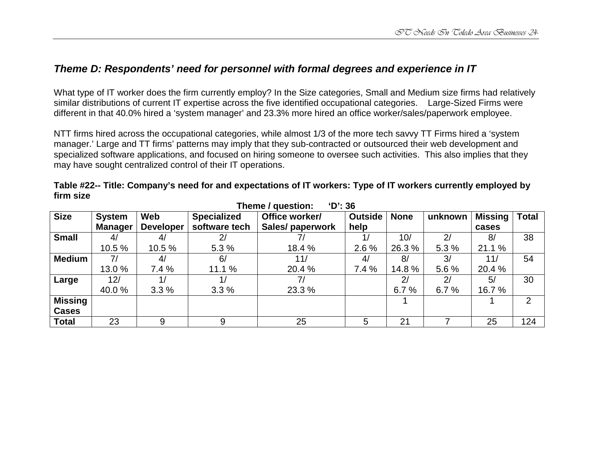## **Theme D: Respondents' need for personnel with formal degrees and experience in IT**

What type of IT worker does the firm currently employ? In the Size categories, Small and Medium size firms had relatively similar distributions of current IT expertise across the five identified occupational categories. Large-Sized Firms were different in that 40.0% hired a 'system manager' and 23.3% more hired an office worker/sales/paperwork employee.

NTT firms hired across the occupational categories, while almost 1/3 of the more tech savvy TT Firms hired a 'system manager.' Large and TT firms' patterns may imply that they sub-contracted or outsourced their web development and specialized software applications, and focused on hiring someone to oversee such activities. This also implies that they may have sought centralized control of their IT operations.

| 'D': 36<br>Theme / question: |               |                  |                    |                  |         |             |         |         |              |  |  |
|------------------------------|---------------|------------------|--------------------|------------------|---------|-------------|---------|---------|--------------|--|--|
| <b>Size</b>                  | <b>System</b> | Web              | <b>Specialized</b> | Office worker/   | Outside | <b>None</b> | unknown | Missing | <b>Total</b> |  |  |
|                              | Manager       | <b>Developer</b> | software tech      | Sales/ paperwork | help    |             |         | cases   |              |  |  |
| <b>Small</b>                 | 4/            | 4/               | 2/                 |                  | 1/      | 10/         | 2/      | 8/      | 38           |  |  |
|                              | 10.5 %        | 10.5 %           | 5.3%               | 18.4 %           | 2.6%    | 26.3%       | 5.3%    | 21.1 %  |              |  |  |
| <b>Medium</b>                | 7/            | 4/               | 6/                 | 11/              | 4/      | 8/          | 3/      | 11/     | 54           |  |  |
|                              | 13.0%         | 7.4%             | 11.1%              | 20.4 %           | 7.4%    | 14.8%       | 5.6%    | 20.4 %  |              |  |  |
| Large                        | 12/           |                  |                    | 7/               |         | 2/          | 2/      | 5/      | 30           |  |  |
|                              | 40.0%         | 3.3%             | 3.3%               | 23.3 %           |         | 6.7%        | 6.7%    | 16.7 %  |              |  |  |
| <b>Missing</b>               |               |                  |                    |                  |         |             |         |         | 2            |  |  |
| <b>Cases</b>                 |               |                  |                    |                  |         |             |         |         |              |  |  |
| <b>Total</b>                 | 23            | 9                | 9                  | 25               | 5       | 21          |         | 25      | 124          |  |  |

**Table #22-- Title: Company's need for and expectations of IT workers: Type of IT workers currently employed by firm size**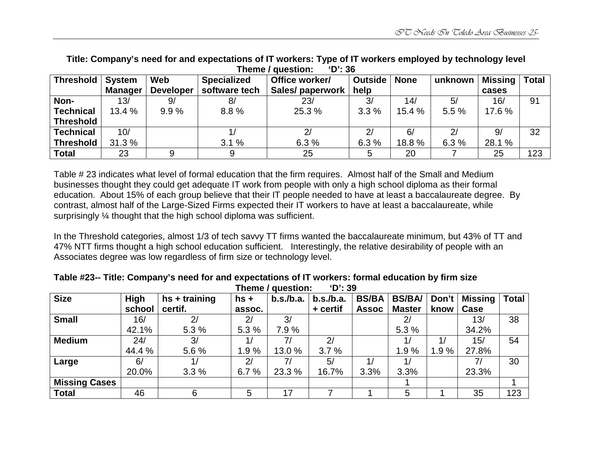| TIIGIIIG I AAGSHAII'<br>טט ט |                |                  |                    |                  |                |             |         |                 |     |  |
|------------------------------|----------------|------------------|--------------------|------------------|----------------|-------------|---------|-----------------|-----|--|
| <b>Threshold</b>             | <b>System</b>  | Web              | <b>Specialized</b> | Office worker/   | <b>Outside</b> | <b>None</b> | unknown | Missing   Total |     |  |
|                              | <b>Manager</b> | <b>Developer</b> | software tech      | Sales/ paperwork | help           |             |         | cases           |     |  |
| Non-                         | 13/            | 9/               | 8/                 | 23/              | 3/             | 14/         | 5/      | 16/             | 91  |  |
| <b>Technical</b>             | 13.4 %         | 9.9%             | 8.8%               | 25.3 %           | 3.3%           | 15.4 %      | 5.5 %   | 17.6 %          |     |  |
| <b>Threshold</b>             |                |                  |                    |                  |                |             |         |                 |     |  |
| <b>Technical</b>             | 10/            |                  |                    | 2/               | 2/             | 6/          | 2/      | 9/              | 32  |  |
| <b>Threshold</b>             | 31.3 %         |                  | 3.1%               | 6.3%             | 6.3%           | 18.8%       | 6.3%    | 28.1 %          |     |  |
| <b>Total</b>                 | 23             |                  |                    | 25               |                | 20          |         | 25              | 123 |  |

**Title: Company's need for and expectations of IT workers: Type of IT workers employed by technology level Theme** / question:

Table # 23 indicates what level of formal education that the firm requires. Almost half of the Small and Medium businesses thought they could get adequate IT work from people with only a high school diploma as their formal education. About 15% of each group believe that their IT people needed to have at least a baccalaureate degree. By contrast, almost half of the Large-Sized Firms expected their IT workers to have at least a baccalaureate, while surprisingly ¼ thought that the high school diploma was sufficient.

In the Threshold categories, almost 1/3 of tech savvy TT firms wanted the baccalaureate minimum, but 43% of TT and 47% NTT firms thought a high school education sufficient. Interestingly, the relative desirability of people with an Associates degree was low regardless of firm size or technology level.

| <b>Size</b>          | High   | $hs + training$ | $hs +$         | b.s./b.a. | b.s./b.a. | <b>BS/BA</b> | <b>BS/BA/</b> | Don't | ∣ Missing <sup>∣</sup> | <b>Total</b> |
|----------------------|--------|-----------------|----------------|-----------|-----------|--------------|---------------|-------|------------------------|--------------|
|                      | school | certif.         | assoc.         |           | + certif  | <b>Assoc</b> | <b>Master</b> | know  | Case                   |              |
| <b>Small</b>         | 16/    | 2 <sub>l</sub>  | 2 <sub>l</sub> | 3/        |           |              | 2/            |       | 13/                    | 38           |
|                      | 42.1%  | 5.3 %           | 5.3 %          | 7.9%      |           |              | 5.3 %         |       | 34.2%                  |              |
| <b>Medium</b>        | 24/    | 3/              |                | 71        | 2/        |              |               |       | 15/                    | 54           |
|                      | 44.4 % | 5.6%            | 1.9%           | 13.0 %    | 3.7%      |              | 1.9%          | 1.9%  | 27.8%                  |              |
| Large                | 6/     |                 | 2/             | 71        | 5/        |              |               |       | 7,                     | 30           |
|                      | 20.0%  | 3.3%            | 6.7%           | 23.3 %    | 16.7%     | 3.3%         | 3.3%          |       | 23.3%                  |              |
| <b>Missing Cases</b> |        |                 |                |           |           |              |               |       |                        |              |
| <b>Total</b>         | 46     | 6               | 5              | 17        |           |              | 5             |       | 35                     | 123          |

**Table #23-- Title: Company's need for and expectations of IT workers: formal education by firm size Theme / question: 'D': 39**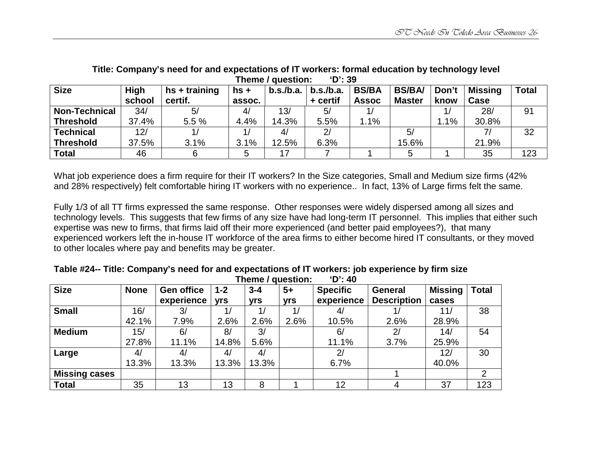| $11011077$ agostivit.<br>- - |        |                 |        |           |           |              |               |       |                |              |  |  |
|------------------------------|--------|-----------------|--------|-----------|-----------|--------------|---------------|-------|----------------|--------------|--|--|
| <b>Size</b>                  | High   | $hs + training$ | $hs +$ | b.s./b.a. | b.s./b.a. | <b>BS/BA</b> | <b>BS/BA/</b> | Don't | <b>Missing</b> | <b>Total</b> |  |  |
|                              | school | certif.         | assoc. |           | + certif  | <b>Assoc</b> | <b>Master</b> | know  | Case           |              |  |  |
| <b>Non-Technical</b>         | 34/    | 5/              | 4/     | 13/       | 5/        |              |               |       | 28/            | 91           |  |  |
| ∣ Threshold                  | 37.4%  | 5.5 %           | 4.4%   | 14.3%     | 5.5%      | 1.1%         |               | 1.1%  | 30.8%          |              |  |  |
| <b>Technical</b>             | 12/    |                 |        | 4/        | 2/        |              | 5/            |       |                | 32           |  |  |
| <b>Threshold</b>             | 37.5%  | 3.1%            | 3.1%   | 12.5%     | 6.3%      |              | 15.6%         |       | 21.9%          |              |  |  |
| <b>Total</b>                 | 46     |                 |        |           |           |              |               |       | 35             | 123          |  |  |

**Title: Company's need for and expectations of IT workers: formal education by technology level Theme / question: 'D': 39** 

What job experience does a firm require for their IT workers? In the Size categories, Small and Medium size firms (42% and 28% respectively) felt comfortable hiring IT workers with no experience.. In fact, 13% of Large firms felt the same.

Fully 1/3 of all TT firms expressed the same response. Other responses were widely dispersed among all sizes and technology levels. This suggests that few firms of any size have had long-term IT personnel. This implies that either such expertise was new to firms, that firms laid off their more experienced (and better paid employees?), that many experienced workers left the in-house IT workforce of the area firms to either become hired IT consultants, or they moved to other locales where pay and benefits may be greater.

|                      |             |                   |            | $111$ c $11$ c $7$ yucsuvii. |                | <u>. 40</u>     |                    |                |              |
|----------------------|-------------|-------------------|------------|------------------------------|----------------|-----------------|--------------------|----------------|--------------|
| <b>Size</b>          | <b>None</b> | <b>Gen office</b> | $1 - 2$    | $3 - 4$                      | $5+$           | <b>Specific</b> | General            | <b>Missing</b> | <b>Total</b> |
|                      |             | experience        | <b>yrs</b> | yrs                          | <b>yrs</b>     | experience      | <b>Description</b> | cases          |              |
| <b>Small</b>         | 16/         | 3/                | 17         |                              | $\overline{A}$ | 4/              |                    | 11/            | 38           |
|                      | 42.1%       | 7.9%              | 2.6%       | 2.6%                         | 2.6%           | 10.5%           | 2.6%               | 28.9%          |              |
| <b>Medium</b>        | 15/         | 6/                | 8/         | 3/                           |                | 6/              | 2/                 | 14/            | 54           |
|                      | 27.8%       | 11.1%             | 14.8%      | 5.6%                         |                | 11.1%           | 3.7%               | 25.9%          |              |
| Large                | 4/          | 4/                | 4/         | 4/                           |                | 2/              |                    | 12/            | 30           |
|                      | 13.3%       | 13.3%             | 13.3%      | 13.3%                        |                | 6.7%            |                    | 40.0%          |              |
| <b>Missing cases</b> |             |                   |            |                              |                |                 |                    |                | 2            |
| <b>Total</b>         | 35          | 13                | 13         | 8                            |                | 12              |                    | 37             | 123          |

**Table #24-- Title: Company's need for and expectations of IT workers: job experience by firm size Theme / question: 'D': 40**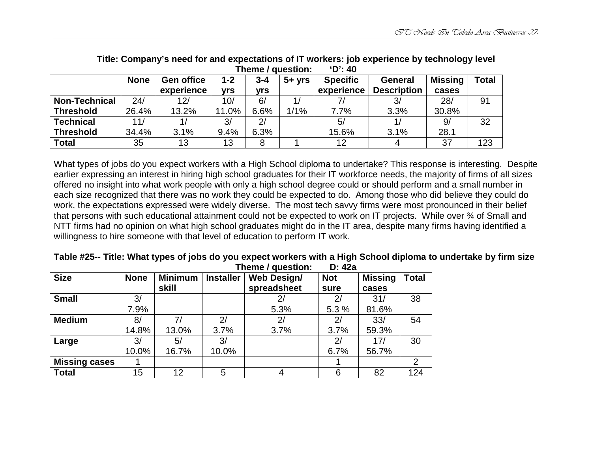|                      |             |                   |       |         | Theme / question: | ัม : 4∪         |                    |                |       |
|----------------------|-------------|-------------------|-------|---------|-------------------|-----------------|--------------------|----------------|-------|
|                      | <b>None</b> | <b>Gen office</b> | $1-2$ | $3 - 4$ | $5+vrs$           | <b>Specific</b> | <b>General</b>     | <b>Missing</b> | Total |
|                      |             | experience        | vrs   | vrs     |                   | experience      | <b>Description</b> | cases          |       |
| <b>Non-Technical</b> | 24/         | 12/               | 10/   | 6/      |                   |                 | 3/                 | 28/            | 91    |
| <b>Threshold</b>     | 26.4%       | 13.2%             | 11.0% | 6.6%    | 1/1%              | 7.7%            | 3.3%               | 30.8%          |       |
| <b>Technical</b>     | 11/         |                   | 3/    | 2/      |                   | 5/              |                    | 9/             | 32    |
| <b>Threshold</b>     | 34.4%       | 3.1%              | 9.4%  | 6.3%    |                   | 15.6%           | 3.1%               | 28.1           |       |
| <b>Total</b>         | 35          | 13                | 13    |         |                   | 12              |                    | 37             | 123   |

**Title: Company's need for and expectations of IT workers: job experience by technology level Theme / question: 'D': 40** 

What types of jobs do you expect workers with a High School diploma to undertake? This response is interesting. Despite earlier expressing an interest in hiring high school graduates for their IT workforce needs, the majority of firms of all sizes offered no insight into what work people with only a high school degree could or should perform and a small number in each size recognized that there was no work they could be expected to do. Among those who did believe they could do work, the expectations expressed were widely diverse. The most tech savvy firms were most pronounced in their belief that persons with such educational attainment could not be expected to work on IT projects. While over % of Small and NTT firms had no opinion on what high school graduates might do in the IT area, despite many firms having identified a willingness to hire someone with that level of education to perform IT work.

| <b>Size</b>          | <b>None</b> | <b>Minimum</b><br>skill | <b>Installer</b> | <b>Web Design/</b><br>spreadsheet | <b>Not</b><br>sure | <b>Missing</b><br>cases | <b>Total</b> |
|----------------------|-------------|-------------------------|------------------|-----------------------------------|--------------------|-------------------------|--------------|
| <b>Small</b>         | 3/          |                         |                  |                                   | 2 <sub>l</sub>     | 31/                     | 38           |
|                      | 7.9%        |                         |                  | 5.3%                              | 5.3 %              | 81.6%                   |              |
| <b>Medium</b>        | 8/          | 7/                      | 2/               | 2/                                | 2 <sub>l</sub>     | 33/                     | 54           |
|                      | 14.8%       | 13.0%                   | 3.7%             | 3.7%                              | 3.7%               | 59.3%                   |              |
| Large                | 3/          | 5/                      | 3/               |                                   | 2/                 | 17/                     | 30           |
|                      | 10.0%       | 16.7%                   | 10.0%            |                                   | 6.7%               | 56.7%                   |              |
| <b>Missing cases</b> |             |                         |                  |                                   |                    |                         | 2            |
| <b>Total</b>         | 15          | 12                      | 5                |                                   | 6                  | 82                      | 124          |

**Table #25-- Title: What types of jobs do you expect workers with a High School diploma to undertake by firm size Theme / question: D: 42a**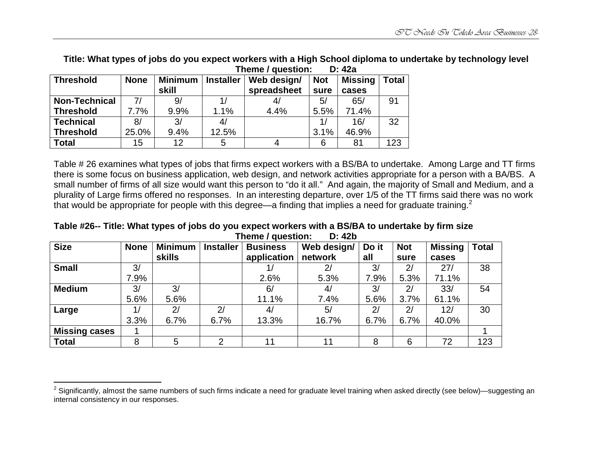|                      |             |                |                  | Theme / Question: |            | D: 42a         |       |
|----------------------|-------------|----------------|------------------|-------------------|------------|----------------|-------|
| <b>Threshold</b>     | <b>None</b> | <b>Minimum</b> | <b>Installer</b> | Web design/       | <b>Not</b> | <b>Missing</b> | Total |
|                      |             | skill          |                  | spreadsheet       | sure       | cases          |       |
| <b>Non-Technical</b> | 71          | 9              |                  | 4/                | 5/         | 65/            | 91    |
| <b>Threshold</b>     | 7.7%        | 9.9%           | 1.1%             | 4.4%              | 5.5%       | 71.4%          |       |
| <b>Technical</b>     | 8/          | 3/             | 4/               |                   |            | 16/            | 32    |
| <b>Threshold</b>     | 25.0%       | 9.4%           | 12.5%            |                   | 3.1%       | 46.9%          |       |
| <b>Total</b>         | 15          | 12             | 5                |                   |            | 81             | 123   |

**Title: What types of jobs do you expect workers with a High School diploma to undertake by technology level Theme / question: D: 42a**

Table # 26 examines what types of jobs that firms expect workers with a BS/BA to undertake. Among Large and TT firms there is some focus on business application, web design, and network activities appropriate for a person with a BA/BS. A small number of firms of all size would want this person to "do it all." And again, the majority of Small and Medium, and a plurality of Large firms offered no responses. In an interesting departure, over 1/5 of the TT firms said there was no work that would be appropriate for people with this degree—a finding that implies a need for graduate training.<sup>2</sup>

**Table #26-- Title: What types of jobs do you expect workers with a BS/BA to undertake by firm size Theme / question: D: 42b** 

| <b>Size</b>          | <b>None</b> | <b>Minimum</b> | <b>Installer</b> | <b>Business</b> | Web design/ | Do it | <b>Not</b> | <b>Missing</b> | <b>Total</b> |
|----------------------|-------------|----------------|------------------|-----------------|-------------|-------|------------|----------------|--------------|
|                      |             | <b>skills</b>  |                  | application     | network     | all   | sure       | cases          |              |
| <b>Small</b>         | 3/          |                |                  |                 | 2/          | 3/    | 2/         | 27/            | 38           |
|                      | 7.9%        |                |                  | 2.6%            | 5.3%        | 7.9%  | 5.3%       | 71.1%          |              |
| <b>Medium</b>        | 3/          | 3/             |                  | 6/              | 4/          | 3/    | 2/         | 33/            | 54           |
|                      | 5.6%        | 5.6%           |                  | 11.1%           | 7.4%        | 5.6%  | 3.7%       | 61.1%          |              |
| Large                | 1/          | 2/             | 2/               | 4/              | 5/          | 2/    | 2/         | 12/            | 30           |
|                      | 3.3%        | 6.7%           | 6.7%             | 13.3%           | 16.7%       | 6.7%  | 6.7%       | 40.0%          |              |
| <b>Missing cases</b> |             |                |                  |                 |             |       |            |                |              |
| <b>Total</b>         | 8           | 5              | ⌒                | 11              | 11          | 8     | 6          | 72             | 123          |

 $2$  Significantly, almost the same numbers of such firms indicate a need for graduate level training when asked directly (see below)—suggesting an internal consistency in our responses.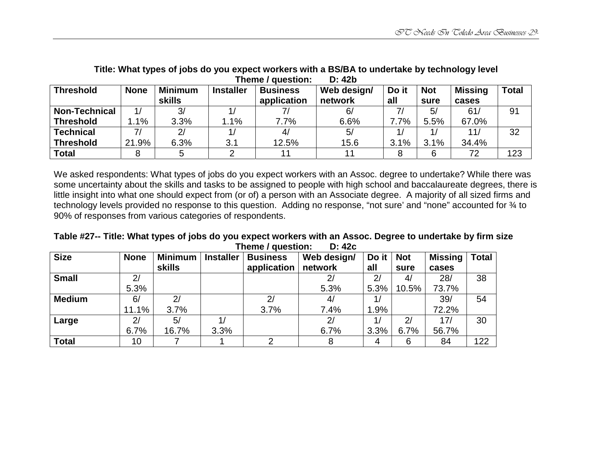| <b>Threshold</b>     | <b>None</b> | <b>Minimum</b> | <b>Installer</b> | <b>Business</b> | Web design/ | Do it | <b>Not</b> | <b>Missing</b> | Total |  |  |
|----------------------|-------------|----------------|------------------|-----------------|-------------|-------|------------|----------------|-------|--|--|
|                      |             | <b>skills</b>  |                  | application     | network     | all   | sure       | cases          |       |  |  |
| <b>Non-Technical</b> |             | 3/             |                  |                 | 6/          | 71    | 5/         | 61/            | 91    |  |  |
| <b>Threshold</b>     | $.1\%$      | 3.3%           | 1.1%             | 7.7%            | 6.6%        | 7.7%  | 5.5%       | 67.0%          |       |  |  |
| <b>Technical</b>     |             | 2/             |                  | 4/              | 5/          |       |            | 11/            | 32    |  |  |
| <b>Threshold</b>     | 21.9%       | 6.3%           | 3.1              | 12.5%           | 15.6        | 3.1%  | 3.1%       | 34.4%          |       |  |  |
| <b>Total</b>         |             |                |                  | 11              | 11          |       | 6          | 72             | 123   |  |  |

**Title: What types of jobs do you expect workers with a BS/BA to undertake by technology level Theme / question: D: 42b** 

We asked respondents: What types of jobs do you expect workers with an Assoc. degree to undertake? While there was some uncertainty about the skills and tasks to be assigned to people with high school and baccalaureate degrees, there is little insight into what one should expect from (or of) a person with an Associate degree. A majority of all sized firms and technology levels provided no response to this question. Adding no response, "not sure' and "none" accounted for  $\frac{3}{4}$  to 90% of responses from various categories of respondents.

| Table #27-- Title: What types of jobs do you expect workers with an Assoc. Degree to undertake by firm size |                          |  |
|-------------------------------------------------------------------------------------------------------------|--------------------------|--|
|                                                                                                             | Theme / question: D: 42c |  |

| <b>Size</b>   | <b>None</b> | <b>Minimum</b> | <b>Installer</b> | <b>Business</b> | Web design/ | Do it $\vert$ Not |       | <b>Missing</b> | <b>Total</b> |
|---------------|-------------|----------------|------------------|-----------------|-------------|-------------------|-------|----------------|--------------|
|               |             | <b>skills</b>  |                  | application     | network     | all               | sure  | cases          |              |
| <b>Small</b>  | 2/          |                |                  |                 |             | 2 <sub>l</sub>    | 4/    | 28/            | 38           |
|               | 5.3%        |                |                  |                 | 5.3%        | 5.3%              | 10.5% | 73.7%          |              |
| <b>Medium</b> | 6/          | 2/             |                  | 2 <sub>l</sub>  | 4/          | 1/                |       | 39/            | 54           |
|               | 11.1%       | 3.7%           |                  | 3.7%            | 7.4%        | 1.9%              |       | 72.2%          |              |
| Large         | 2/          | 5/             |                  |                 | 2/          | 1/                | 2/    | 17/            | 30           |
|               | 6.7%        | 16.7%          | 3.3%             |                 | 6.7%        | 3.3%              | 6.7%  | 56.7%          |              |
| <b>Total</b>  | 10          |                |                  |                 |             | 4                 | 6     | 84             | 122          |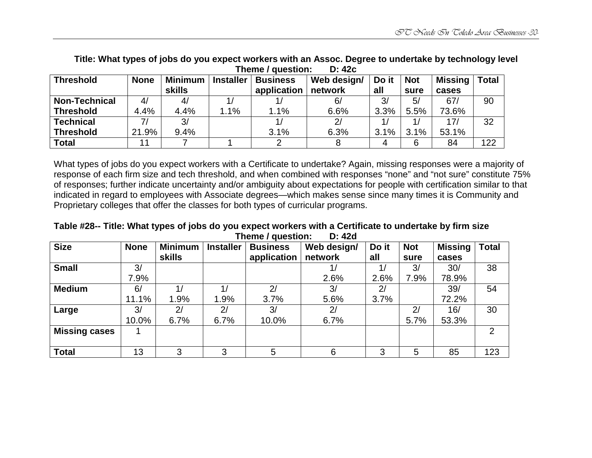|                      |             | ו ווסוווס ו עעכטנוטוו.<br>レ・キムし |                  |                 |             |       |            |                |       |
|----------------------|-------------|---------------------------------|------------------|-----------------|-------------|-------|------------|----------------|-------|
| <b>Threshold</b>     | <b>None</b> | Minimum                         | <b>Installer</b> | <b>Business</b> | Web design/ | Do it | <b>Not</b> | <b>Missing</b> | Total |
|                      |             | <b>skills</b>                   |                  | application     | network     | all   | sure       | cases          |       |
| <b>Non-Technical</b> | 4/          | 4/                              |                  |                 | 6/          | 3/    | 5/         | 67/            | 90    |
| <b>Threshold</b>     | 4.4%        | 4.4%                            | 1.1%             | 1.1%            | 6.6%        | 3.3%  | 5.5%       | 73.6%          |       |
| <b>Technical</b>     | 71          | 3/                              |                  |                 |             |       |            | 17/            | 32    |
| <b>Threshold</b>     | 21.9%       | 9.4%                            |                  | 3.1%            | 6.3%        | 3.1%  | 3.1%       | 53.1%          |       |
| <b>Total</b>         |             |                                 |                  |                 |             | 4     | 6          | 84             | 122   |

**Title: What types of jobs do you expect workers with an Assoc. Degree to undertake by technology level Thomo** / question:

What types of jobs do you expect workers with a Certificate to undertake? Again, missing responses were a majority of response of each firm size and tech threshold, and when combined with responses "none" and "not sure" constitute 75% of responses; further indicate uncertainty and/or ambiguity about expectations for people with certification similar to that indicated in regard to employees with Associate degrees—which makes sense since many times it is Community and Proprietary colleges that offer the classes for both types of curricular programs.

**Table #28-- Title: What types of jobs do you expect workers with a Certificate to undertake by firm size Theme / question: D: 42d** 

| <b>Size</b>          | <b>None</b> | <b>Minimum</b> | <b>Installer</b> | <b>Business</b> | Web design/ | Do it | <b>Not</b> | <b>Missing</b> | <b>Total</b> |
|----------------------|-------------|----------------|------------------|-----------------|-------------|-------|------------|----------------|--------------|
|                      |             | <b>skills</b>  |                  | application     | network     | all   | sure       | cases          |              |
| <b>Small</b>         | 3/          |                |                  |                 |             | 1/    | 3/         | 30/            | 38           |
|                      | 7.9%        |                |                  |                 | 2.6%        | 2.6%  | 7.9%       | 78.9%          |              |
| <b>Medium</b>        | 6/          |                | 1/               | 2/              | 3/          | 2/    |            | 39/            | 54           |
|                      | 11.1%       | 1.9%           | 1.9%             | 3.7%            | 5.6%        | 3.7%  |            | 72.2%          |              |
| Large                | 3/          | 2/             | 2/               | 3/              | 2/          |       | 2/         | 16/            | 30           |
|                      | 10.0%       | 6.7%           | 6.7%             | 10.0%           | 6.7%        |       | 5.7%       | 53.3%          |              |
| <b>Missing cases</b> |             |                |                  |                 |             |       |            |                | 2            |
|                      |             |                |                  |                 |             |       |            |                |              |
| <b>Total</b>         | 13          | 3              | 3                | 5               | 6           | 3     | 5          | 85             | 123          |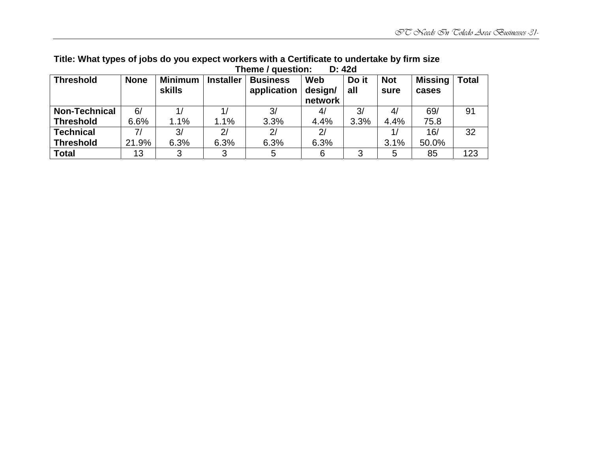|                      |             |                |                  | TIIGIIIG / UUGSUUII. | D. 440     |       |            |                |              |
|----------------------|-------------|----------------|------------------|----------------------|------------|-------|------------|----------------|--------------|
| <b>Threshold</b>     | <b>None</b> | <b>Minimum</b> | <b>Installer</b> | <b>Business</b>      | <b>Web</b> | Do it | <b>Not</b> | <b>Missing</b> | <b>Total</b> |
|                      |             | <b>skills</b>  |                  | application          | design/    | all   | sure       | cases          |              |
|                      |             |                |                  |                      | network    |       |            |                |              |
| <b>Non-Technical</b> | 6/          |                |                  | 3/                   | 4/         | 3/    | 4/         | 69/            | 91           |
| <b>Threshold</b>     | 6.6%        | 1.1%           | 1.1%             | 3.3%                 | 4.4%       | 3.3%  | 4.4%       | 75.8           |              |
| <b>Technical</b>     |             | 3/             | 2/               | 2/                   | 2/         |       |            | 16/            | 32           |
| <b>Threshold</b>     | 21.9%       | 6.3%           | 6.3%             | 6.3%                 | 6.3%       |       | 3.1%       | 50.0%          |              |
| Total                | 13          |                |                  | 5                    | 6          |       | 5          | 85             | 123          |

#### **Title: What types of jobs do you expect workers with a Certificate to undertake by firm size Theme / question: D: 42d**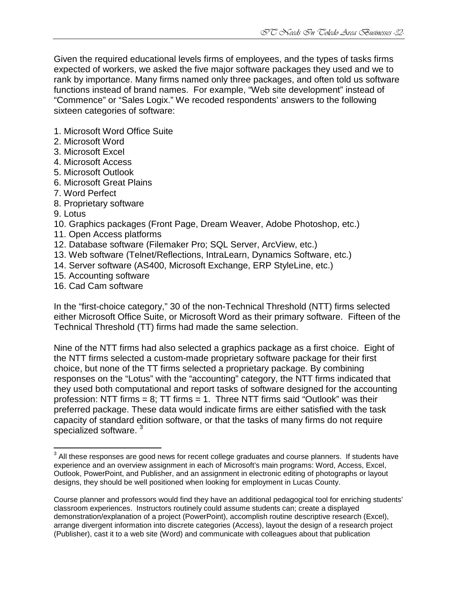Given the required educational levels firms of employees, and the types of tasks firms expected of workers, we asked the five major software packages they used and we to rank by importance. Many firms named only three packages, and often told us software functions instead of brand names. For example, "Web site development" instead of "Commence" or "Sales Logix." We recoded respondents' answers to the following sixteen categories of software:

- 1. Microsoft Word Office Suite
- 2. Microsoft Word
- 3. Microsoft Excel
- 4. Microsoft Access
- 5. Microsoft Outlook
- 6. Microsoft Great Plains
- 7. Word Perfect
- 8. Proprietary software
- 9. Lotus

<u>.</u>

- 10. Graphics packages (Front Page, Dream Weaver, Adobe Photoshop, etc.)
- 11. Open Access platforms
- 12. Database software (Filemaker Pro; SQL Server, ArcView, etc.)
- 13. Web software (Telnet/Reflections, IntraLearn, Dynamics Software, etc.)
- 14. Server software (AS400, Microsoft Exchange, ERP StyleLine, etc.)
- 15. Accounting software
- 16. Cad Cam software

In the "first-choice category," 30 of the non-Technical Threshold (NTT) firms selected either Microsoft Office Suite, or Microsoft Word as their primary software. Fifteen of the Technical Threshold (TT) firms had made the same selection.

Nine of the NTT firms had also selected a graphics package as a first choice. Eight of the NTT firms selected a custom-made proprietary software package for their first choice, but none of the TT firms selected a proprietary package. By combining responses on the "Lotus" with the "accounting" category, the NTT firms indicated that they used both computational and report tasks of software designed for the accounting profession: NTT firms =  $8$ ; TT firms =  $1$ . Three NTT firms said "Outlook" was their preferred package. These data would indicate firms are either satisfied with the task capacity of standard edition software, or that the tasks of many firms do not require specialized software.<sup>3</sup>

 $3$  All these responses are good news for recent college graduates and course planners. If students have experience and an overview assignment in each of Microsoft's main programs: Word, Access, Excel, Outlook, PowerPoint, and Publisher, and an assignment in electronic editing of photographs or layout designs, they should be well positioned when looking for employment in Lucas County.

Course planner and professors would find they have an additional pedagogical tool for enriching students' classroom experiences. Instructors routinely could assume students can; create a displayed demonstration/explanation of a project (PowerPoint), accomplish routine descriptive research (Excel), arrange divergent information into discrete categories (Access), layout the design of a research project (Publisher), cast it to a web site (Word) and communicate with colleagues about that publication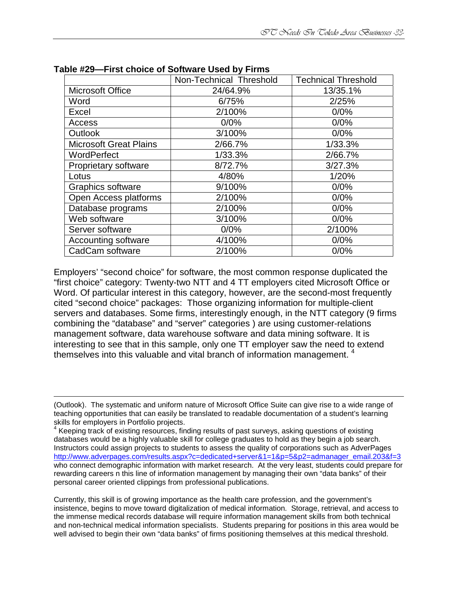|                               | Non-Technical Threshold | <b>Technical Threshold</b> |
|-------------------------------|-------------------------|----------------------------|
| <b>Microsoft Office</b>       | 24/64.9%                | 13/35.1%                   |
| Word                          | 6/75%                   | 2/25%                      |
| Excel                         | 2/100%                  | 0/0%                       |
| Access                        | 0/0%                    | 0/0%                       |
| <b>Outlook</b>                | 3/100%                  | 0/0%                       |
| <b>Microsoft Great Plains</b> | 2/66.7%                 | 1/33.3%                    |
| WordPerfect                   | 1/33.3%                 | 2/66.7%                    |
| Proprietary software          | 8/72.7%                 | 3/27.3%                    |
| Lotus                         | 4/80%                   | 1/20%                      |
| Graphics software             | 9/100%                  | 0/0%                       |
| Open Access platforms         | 2/100%                  | 0/0%                       |
| Database programs             | 2/100%                  | 0/0%                       |
| Web software                  | 3/100%                  | 0/0%                       |
| Server software               | 0/0%                    | 2/100%                     |
| Accounting software           | 4/100%                  | 0/0%                       |
| CadCam software               | 2/100%                  | 0/0%                       |

**Table #29—First choice of Software Used by Firms** 

 $\overline{a}$ 

Employers' "second choice" for software, the most common response duplicated the "first choice" category: Twenty-two NTT and 4 TT employers cited Microsoft Office or Word. Of particular interest in this category, however, are the second-most frequently cited "second choice" packages: Those organizing information for multiple-client servers and databases. Some firms, interestingly enough, in the NTT category (9 firms combining the "database" and "server" categories ) are using customer-relations management software, data warehouse software and data mining software. It is interesting to see that in this sample, only one TT employer saw the need to extend themselves into this valuable and vital branch of information management.<sup>4</sup>

Currently, this skill is of growing importance as the health care profession, and the government's insistence, begins to move toward digitalization of medical information. Storage, retrieval, and access to the immense medical records database will require information management skills from both technical and non-technical medical information specialists. Students preparing for positions in this area would be well advised to begin their own "data banks" of firms positioning themselves at this medical threshold.

<sup>(</sup>Outlook). The systematic and uniform nature of Microsoft Office Suite can give rise to a wide range of teaching opportunities that can easily be translated to readable documentation of a student's learning skills for employers in Portfolio projects.<br><sup>4</sup> Keeping track of ovinting resources, fin

Keeping track of existing resources, finding results of past surveys, asking questions of existing databases would be a highly valuable skill for college graduates to hold as they begin a job search. Instructors could assign projects to students to assess the quality of corporations such as AdverPages http://www.adverpages.com/results.aspx?c=dedicated+server&1=1&p=5&p2=admanager\_email.203&f=3 who connect demographic information with market research. At the very least, students could prepare for rewarding careers n this line of information management by managing their own "data banks" of their personal career oriented clippings from professional publications.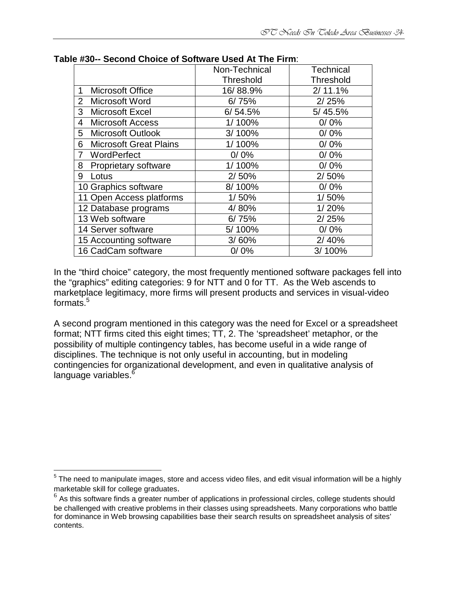|                                    | Non-Technical    | <b>Technical</b> |  |
|------------------------------------|------------------|------------------|--|
|                                    | <b>Threshold</b> | <b>Threshold</b> |  |
| Microsoft Office<br>1              | 16/88.9%         | 2/11.1%          |  |
| $\overline{2}$<br>Microsoft Word   | 6/75%            | 2/25%            |  |
| 3<br><b>Microsoft Excel</b>        | 6/54.5%          | 5/45.5%          |  |
| <b>Microsoft Access</b><br>4       | 1/100%           | 0/0%             |  |
| <b>Microsoft Outlook</b><br>5.     | 3/100%           | 0/0%             |  |
| <b>Microsoft Great Plains</b><br>6 | 1/100%           | 0/0%             |  |
| WordPerfect<br>$\overline{7}$      | $0/0\%$          | 0/0%             |  |
| Proprietary software<br>8          | 1/100%           | 0/0%             |  |
| Lotus<br>9                         | 2/50%            | 2/50%            |  |
| 10 Graphics software               | 8/100%           | 0/0%             |  |
| 11 Open Access platforms           | 1/50%            | 1/50%            |  |
| 12 Database programs               | 4/80%            | 1/20%            |  |
| 13 Web software                    | 6/75%            | 2/25%            |  |
| 14 Server software                 | 5/100%           | 0/0%             |  |
| 15 Accounting software             | 3/60%            | 2/40%            |  |
| 16 CadCam software                 | 0/0%             | 3/100%           |  |

| Table #30-- Second Choice of Software Used At The Firm: |
|---------------------------------------------------------|
|---------------------------------------------------------|

In the "third choice" category, the most frequently mentioned software packages fell into the "graphics" editing categories: 9 for NTT and 0 for TT. As the Web ascends to marketplace legitimacy, more firms will present products and services in visual-video formats.<sup>5</sup>

A second program mentioned in this category was the need for Excel or a spreadsheet format; NTT firms cited this eight times; TT, 2. The 'spreadsheet' metaphor, or the possibility of multiple contingency tables, has become useful in a wide range of disciplines. The technique is not only useful in accounting, but in modeling contingencies for organizational development, and even in qualitative analysis of language variables. $<sup>6</sup>$ </sup>

 5 The need to manipulate images, store and access video files, and edit visual information will be a highly marketable skill for college graduates.<br> $6$  As this software finds a greater number of applications in professional circles, college students should

be challenged with creative problems in their classes using spreadsheets. Many corporations who battle for dominance in Web browsing capabilities base their search results on spreadsheet analysis of sites' contents.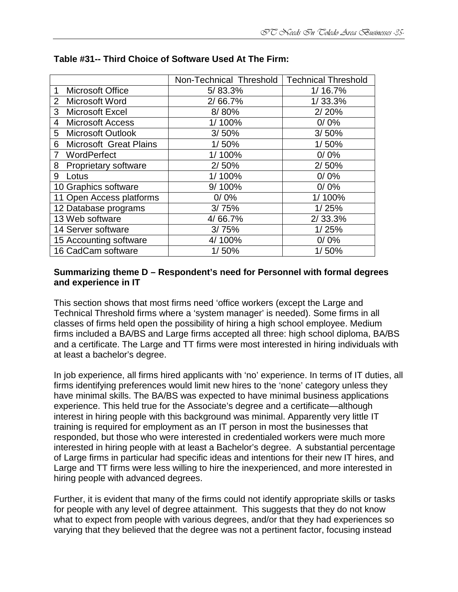|                                         | Non-Technical Threshold | <b>Technical Threshold</b> |
|-----------------------------------------|-------------------------|----------------------------|
| <b>Microsoft Office</b><br>1            | 5/83.3%                 | 1/16.7%                    |
| $\overline{2}$<br><b>Microsoft Word</b> | 2/66.7%                 | 1/33.3%                    |
| 3<br><b>Microsoft Excel</b>             | 8/80%                   | 2/20%                      |
| <b>Microsoft Access</b><br>4            | 1/100%                  | 0/0%                       |
| 5 Microsoft Outlook                     | 3/50%                   | 3/50%                      |
| <b>Microsoft Great Plains</b><br>6      | 1/50%                   | 1/50%                      |
| WordPerfect<br>7                        | 1/100%                  | 0/0%                       |
| <b>Proprietary software</b><br>8        | 2/50%                   | 2/50%                      |
| 9<br>Lotus                              | 1/100%                  | 0/0%                       |
| 10 Graphics software                    | 9/100%                  | 0/0%                       |
| 11 Open Access platforms                | 0/0%                    | 1/100%                     |
| 12 Database programs                    | 3/75%                   | 1/25%                      |
| 13 Web software                         | 4/66.7%                 | 2/33.3%                    |
| 14 Server software                      | 3/75%                   | 1/25%                      |
| 15 Accounting software                  | 4/100%                  | 0/0%                       |
| 16 CadCam software                      | 1/50%                   | 1/50%                      |

#### **Table #31-- Third Choice of Software Used At The Firm:**

#### **Summarizing theme D – Respondent's need for Personnel with formal degrees and experience in IT**

This section shows that most firms need 'office workers (except the Large and Technical Threshold firms where a 'system manager' is needed). Some firms in all classes of firms held open the possibility of hiring a high school employee. Medium firms included a BA/BS and Large firms accepted all three: high school diploma, BA/BS and a certificate. The Large and TT firms were most interested in hiring individuals with at least a bachelor's degree.

In job experience, all firms hired applicants with 'no' experience. In terms of IT duties, all firms identifying preferences would limit new hires to the 'none' category unless they have minimal skills. The BA/BS was expected to have minimal business applications experience. This held true for the Associate's degree and a certificate—although interest in hiring people with this background was minimal. Apparently very little IT training is required for employment as an IT person in most the businesses that responded, but those who were interested in credentialed workers were much more interested in hiring people with at least a Bachelor's degree. A substantial percentage of Large firms in particular had specific ideas and intentions for their new IT hires, and Large and TT firms were less willing to hire the inexperienced, and more interested in hiring people with advanced degrees.

Further, it is evident that many of the firms could not identify appropriate skills or tasks for people with any level of degree attainment. This suggests that they do not know what to expect from people with various degrees, and/or that they had experiences so varying that they believed that the degree was not a pertinent factor, focusing instead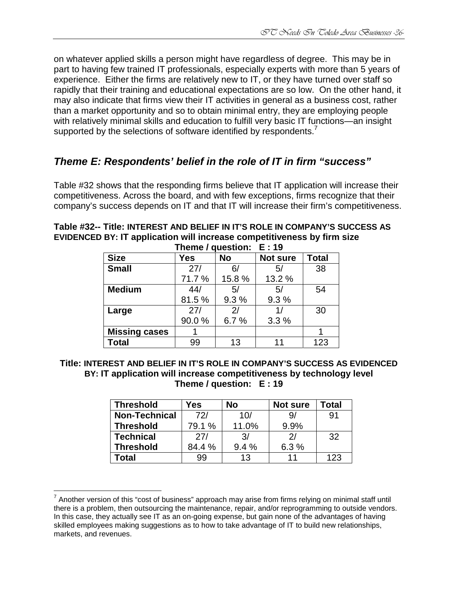on whatever applied skills a person might have regardless of degree. This may be in part to having few trained IT professionals, especially experts with more than 5 years of experience. Either the firms are relatively new to IT, or they have turned over staff so rapidly that their training and educational expectations are so low. On the other hand, it may also indicate that firms view their IT activities in general as a business cost, rather than a market opportunity and so to obtain minimal entry, they are employing people with relatively minimal skills and education to fulfill very basic IT functions—an insight supported by the selections of software identified by respondents.<sup>7</sup>

# **Theme E: Respondents' belief in the role of IT in firm "success"**

Table #32 shows that the responding firms believe that IT application will increase their competitiveness. Across the board, and with few exceptions, firms recognize that their company's success depends on IT and that IT will increase their firm's competitiveness.

|                      |            | Theme / Question: $E: 19$ |                 |              |
|----------------------|------------|---------------------------|-----------------|--------------|
| <b>Size</b>          | <b>Yes</b> | <b>No</b>                 | <b>Not sure</b> | <b>Total</b> |
| <b>Small</b>         | 27/        | 6/                        | 5/              | 38           |
|                      | 71.7%      | 15.8%                     | 13.2 %          |              |
| <b>Medium</b>        | 44/        | 5/                        | 5/              | 54           |
|                      | 81.5%      | 9.3%                      | 9.3%            |              |
| Large                | 27/        | 2/                        | 1/              | 30           |
|                      | 90.0%      | 6.7%                      | 3.3%            |              |
| <b>Missing cases</b> |            |                           |                 |              |
| <b>Total</b>         | 99         | 13                        | 11              | 123          |

#### **Table #32-- Title: INTEREST AND BELIEF IN IT'S ROLE IN COMPANY'S SUCCESS AS EVIDENCED BY: IT application will increase competitiveness by firm size**  $l$  **question:**

#### **Title: INTEREST AND BELIEF IN IT'S ROLE IN COMPANY'S SUCCESS AS EVIDENCED BY: IT application will increase competitiveness by technology level Theme / question: E : 19**

| <b>Threshold</b>     | Yes    | Nο    | Not sure | Total |
|----------------------|--------|-------|----------|-------|
| <b>Non-Technical</b> | 72/    | 10/   | 9,       | 91    |
| <b>Threshold</b>     | 79.1 % | 11.0% | 9.9%     |       |
| <b>Technical</b>     | 27/    | 3/    | 21       | 32    |
| <b>Threshold</b>     | 84.4 % | 9.4%  | 6.3%     |       |
| Гоtal                | 99     | 13    | 11       | 123   |

<u>.</u>

<sup>&</sup>lt;sup>7</sup> Another version of this "cost of business" approach may arise from firms relying on minimal staff until there is a problem, then outsourcing the maintenance, repair, and/or reprogramming to outside vendors. In this case, they actually see IT as an on-going expense, but gain none of the advantages of having skilled employees making suggestions as to how to take advantage of IT to build new relationships, markets, and revenues.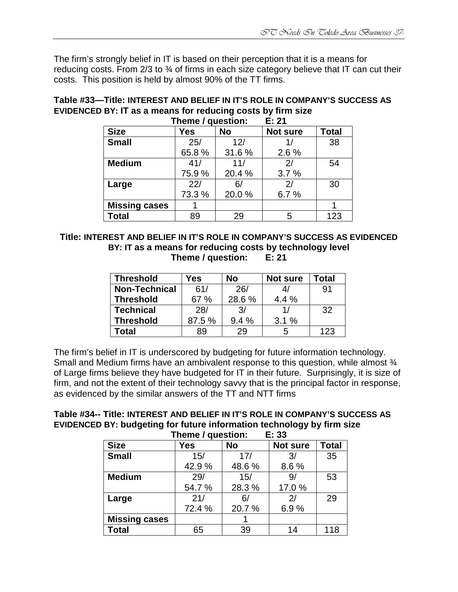The firm's strongly belief in IT is based on their perception that it is a means for reducing costs. From  $2/3$  to  $\frac{3}{4}$  of firms in each size category believe that IT can cut their costs. This position is held by almost 90% of the TT firms.

#### **Table #33—Title: INTEREST AND BELIEF IN IT'S ROLE IN COMPANY'S SUCCESS AS EVIDENCED BY: IT as a means for reducing costs by firm size Theme / question:**

|                      | $111$ c $11$ c $7$ yucsuvii. |           | L. ZI           |              |
|----------------------|------------------------------|-----------|-----------------|--------------|
| <b>Size</b>          | <b>Yes</b>                   | <b>No</b> | <b>Not sure</b> | <b>Total</b> |
| <b>Small</b>         | 25/                          | 12/       | 1/              | 38           |
|                      | 65.8%                        | 31.6%     | 2.6 %           |              |
| <b>Medium</b>        | 41/                          | 11/       | 2/              | 54           |
|                      | 75.9%                        | 20.4%     | 3.7%            |              |
| Large                | 22/                          | 6/        | 2/              | 30           |
|                      | 73.3 %                       | 20.0%     | 6.7%            |              |
| <b>Missing cases</b> |                              |           |                 |              |
| <b>Total</b>         | 89                           | 29        | 5               | 123          |

**Title: INTEREST AND BELIEF IN IT'S ROLE IN COMPANY'S SUCCESS AS EVIDENCED BY: IT as a means for reducing costs by technology level Theme / question: E: 21** 

| <b>Threshold</b>     | Yes    | <b>No</b> | <b>Not sure</b> | Total |
|----------------------|--------|-----------|-----------------|-------|
| <b>Non-Technical</b> | 61/    | 26/       |                 | 91    |
| <b>Threshold</b>     | 67 %   | 28.6%     | 4.4 %           |       |
| <b>Technical</b>     | 28/    | 3/        | 11              | 32    |
| <b>Threshold</b>     | 87.5 % | 9.4%      | 3.1%            |       |
| Total                | 89     | 29        | 5               | 123   |

The firm's belief in IT is underscored by budgeting for future information technology. Small and Medium firms have an ambivalent response to this question, while almost  $\frac{3}{4}$ of Large firms believe they have budgeted for IT in their future. Surprisingly, it is size of firm, and not the extent of their technology savvy that is the principal factor in response, as evidenced by the similar answers of the TT and NTT firms

| Table #34-- Title: INTEREST AND BELIEF IN IT'S ROLE IN COMPANY'S SUCCESS AS |
|-----------------------------------------------------------------------------|
| EVIDENCED BY: budgeting for future information technology by firm size      |
| Thoma / augotion<br>. Е. 99                                                 |

| E: 33<br>Theme / question: |        |           |                 |              |  |  |  |
|----------------------------|--------|-----------|-----------------|--------------|--|--|--|
| <b>Size</b>                | Yes    | <b>No</b> | <b>Not sure</b> | <b>Total</b> |  |  |  |
| <b>Small</b>               | 15/    | 17/       | 3/              | 35           |  |  |  |
|                            | 42.9%  | 48.6%     | 8.6%            |              |  |  |  |
| <b>Medium</b>              | 29/    | 15/       | 9/              | 53           |  |  |  |
|                            | 54.7%  | 28.3%     | 17.0%           |              |  |  |  |
| Large                      | 21/    | 6/        | 21              | 29           |  |  |  |
|                            | 72.4 % | 20.7%     | 6.9%            |              |  |  |  |
| <b>Missing cases</b>       |        |           |                 |              |  |  |  |
| <b>Total</b>               | 65     | 39        | 14              | 118          |  |  |  |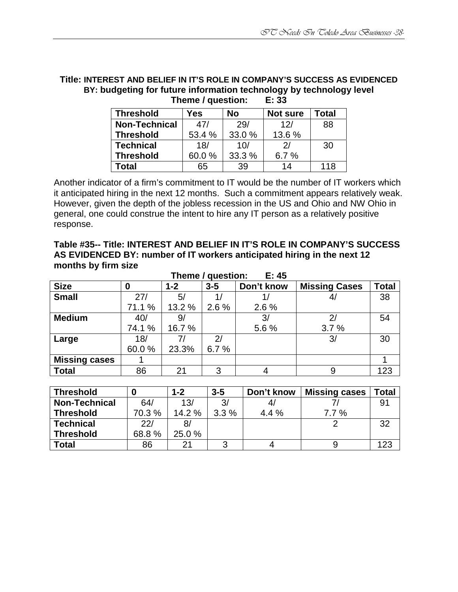#### **Title: INTEREST AND BELIEF IN IT'S ROLE IN COMPANY'S SUCCESS AS EVIDENCED BY: budgeting for future information technology by technology level Theme / question:**

| <b>Threshold</b>     | Yes    | No     | <b>Not sure</b> | Total |
|----------------------|--------|--------|-----------------|-------|
| <b>Non-Technical</b> | 47/    | 29/    | 12/             | 88    |
| <b>Threshold</b>     | 53.4 % | 33.0 % | 13.6%           |       |
| <b>Technical</b>     | 18/    | 10/    | 21              | 30    |
| <b>Threshold</b>     | 60.0%  | 33.3 % | 6.7 $%$         |       |
| Total                | 65     | 39     | 14              | 118   |

Another indicator of a firm's commitment to IT would be the number of IT workers which it anticipated hiring in the next 12 months. Such a commitment appears relatively weak. However, given the depth of the jobless recession in the US and Ohio and NW Ohio in general, one could construe the intent to hire any IT person as a relatively positive response.

| Table #35-- Title: INTEREST AND BELIEF IN IT'S ROLE IN COMPANY'S SUCCESS |
|--------------------------------------------------------------------------|
| AS EVIDENCED BY: number of IT workers anticipated hiring in the next 12  |
| months by firm size                                                      |

| E: 45<br>Theme / question: |         |         |            |                      |              |  |  |
|----------------------------|---------|---------|------------|----------------------|--------------|--|--|
| 0                          | $1 - 2$ | $3 - 5$ | Don't know | <b>Missing Cases</b> | <b>Total</b> |  |  |
| 27/                        | 5/      |         |            | 4 <sub>l</sub>       | 38           |  |  |
| 71.1 %                     | 13.2 %  | $2.6\%$ | 2.6%       |                      |              |  |  |
| 40/                        | 9/      |         | 3/         | $\overline{2}$       | 54           |  |  |
| 74.1 %                     | 16.7%   |         | 5.6%       | 3.7%                 |              |  |  |
| 18/                        | 7/      | 2/      |            | 3/                   | 30           |  |  |
| 60.0%                      | 23.3%   | 6.7%    |            |                      |              |  |  |
|                            |         |         |            |                      |              |  |  |
| 86                         | 21      | 3       | 4          | 9                    | 123          |  |  |
|                            |         |         |            |                      |              |  |  |

| <b>Threshold</b>     |       | $1 - 2$ | $3-5$ | Don't know | <b>Missing cases</b> | <b>Total</b> |
|----------------------|-------|---------|-------|------------|----------------------|--------------|
| <b>Non-Technical</b> | 64/   | 13/     | 3/    |            |                      |              |
| <b>Threshold</b>     | 70.3% | 14.2%   | 3.3%  | 4.4%       | 7.7%                 |              |
| <b>Technical</b>     | 22/   |         |       |            |                      | າາ           |
| <b>Threshold</b>     | 68.8% | 25.0 %  |       |            |                      |              |
| <b>Total</b>         | 86    | ີາ      |       |            |                      | 123          |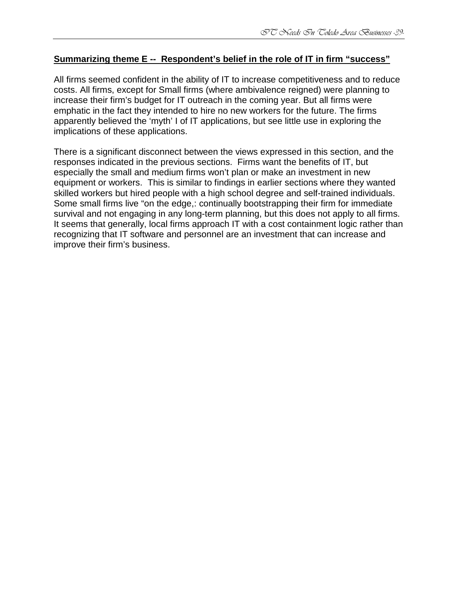#### **Summarizing theme E -- Respondent's belief in the role of IT in firm "success"**

All firms seemed confident in the ability of IT to increase competitiveness and to reduce costs. All firms, except for Small firms (where ambivalence reigned) were planning to increase their firm's budget for IT outreach in the coming year. But all firms were emphatic in the fact they intended to hire no new workers for the future. The firms apparently believed the 'myth' I of IT applications, but see little use in exploring the implications of these applications.

There is a significant disconnect between the views expressed in this section, and the responses indicated in the previous sections. Firms want the benefits of IT, but especially the small and medium firms won't plan or make an investment in new equipment or workers. This is similar to findings in earlier sections where they wanted skilled workers but hired people with a high school degree and self-trained individuals. Some small firms live "on the edge,: continually bootstrapping their firm for immediate survival and not engaging in any long-term planning, but this does not apply to all firms. It seems that generally, local firms approach IT with a cost containment logic rather than recognizing that IT software and personnel are an investment that can increase and improve their firm's business.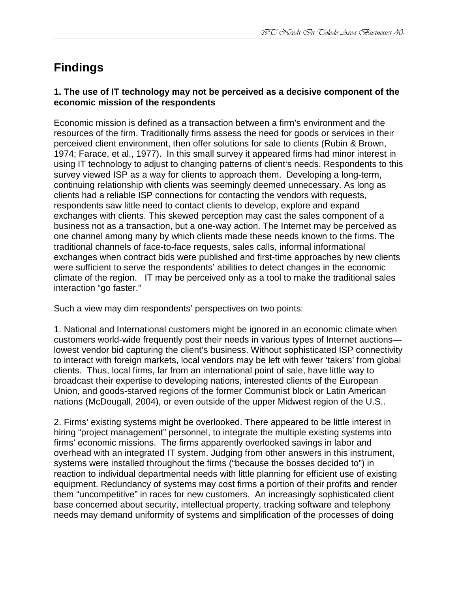# **Findings**

#### **1. The use of IT technology may not be perceived as a decisive component of the economic mission of the respondents**

Economic mission is defined as a transaction between a firm's environment and the resources of the firm. Traditionally firms assess the need for goods or services in their perceived client environment, then offer solutions for sale to clients (Rubin & Brown, 1974; Farace, et al., 1977). In this small survey it appeared firms had minor interest in using IT technology to adjust to changing patterns of client's needs. Respondents to this survey viewed ISP as a way for clients to approach them. Developing a long-term, continuing relationship with clients was seemingly deemed unnecessary. As long as clients had a reliable ISP connections for contacting the vendors with requests, respondents saw little need to contact clients to develop, explore and expand exchanges with clients. This skewed perception may cast the sales component of a business not as a transaction, but a one-way action. The Internet may be perceived as one channel among many by which clients made these needs known to the firms. The traditional channels of face-to-face requests, sales calls, informal informational exchanges when contract bids were published and first-time approaches by new clients were sufficient to serve the respondents' abilities to detect changes in the economic climate of the region. IT may be perceived only as a tool to make the traditional sales interaction "go faster."

Such a view may dim respondents' perspectives on two points:

1. National and International customers might be ignored in an economic climate when customers world-wide frequently post their needs in various types of Internet auctions lowest vendor bid capturing the client's business. Without sophisticated ISP connectivity to interact with foreign markets, local vendors may be left with fewer 'takers' from global clients. Thus, local firms, far from an international point of sale, have little way to broadcast their expertise to developing nations, interested clients of the European Union, and goods-starved regions of the former Communist block or Latin American nations (McDougall, 2004), or even outside of the upper Midwest region of the U.S..

2. Firms' existing systems might be overlooked. There appeared to be little interest in hiring "project management" personnel, to integrate the multiple existing systems into firms' economic missions. The firms apparently overlooked savings in labor and overhead with an integrated IT system. Judging from other answers in this instrument, systems were installed throughout the firms ("because the bosses decided to") in reaction to individual departmental needs with little planning for efficient use of existing equipment. Redundancy of systems may cost firms a portion of their profits and render them "uncompetitive" in races for new customers. An increasingly sophisticated client base concerned about security, intellectual property, tracking software and telephony needs may demand uniformity of systems and simplification of the processes of doing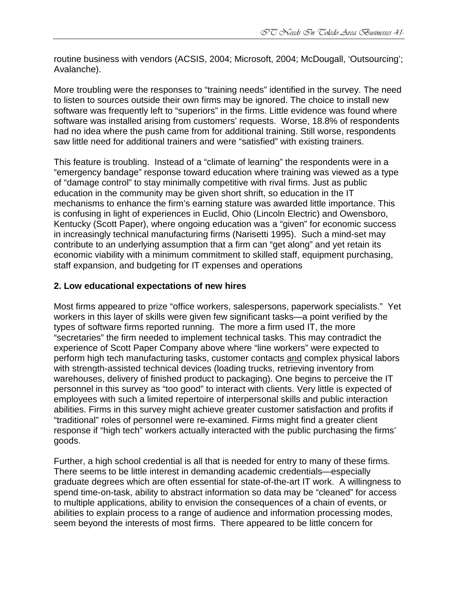routine business with vendors (ACSIS, 2004; Microsoft, 2004; McDougall, 'Outsourcing'; Avalanche).

More troubling were the responses to "training needs" identified in the survey. The need to listen to sources outside their own firms may be ignored. The choice to install new software was frequently left to "superiors" in the firms. Little evidence was found where software was installed arising from customers' requests. Worse, 18.8% of respondents had no idea where the push came from for additional training. Still worse, respondents saw little need for additional trainers and were "satisfied" with existing trainers.

This feature is troubling. Instead of a "climate of learning" the respondents were in a "emergency bandage" response toward education where training was viewed as a type of "damage control" to stay minimally competitive with rival firms. Just as public education in the community may be given short shrift, so education in the IT mechanisms to enhance the firm's earning stature was awarded little importance. This is confusing in light of experiences in Euclid, Ohio (Lincoln Electric) and Owensboro, Kentucky (Scott Paper), where ongoing education was a "given" for economic success in increasingly technical manufacturing firms (Narisetti 1995). Such a mind-set may contribute to an underlying assumption that a firm can "get along" and yet retain its economic viability with a minimum commitment to skilled staff, equipment purchasing, staff expansion, and budgeting for IT expenses and operations

## **2. Low educational expectations of new hires**

Most firms appeared to prize "office workers, salespersons, paperwork specialists." Yet workers in this layer of skills were given few significant tasks—a point verified by the types of software firms reported running. The more a firm used IT, the more "secretaries" the firm needed to implement technical tasks. This may contradict the experience of Scott Paper Company above where "line workers" were expected to perform high tech manufacturing tasks, customer contacts and complex physical labors with strength-assisted technical devices (loading trucks, retrieving inventory from warehouses, delivery of finished product to packaging). One begins to perceive the IT personnel in this survey as "too good" to interact with clients. Very little is expected of employees with such a limited repertoire of interpersonal skills and public interaction abilities. Firms in this survey might achieve greater customer satisfaction and profits if "traditional" roles of personnel were re-examined. Firms might find a greater client response if "high tech" workers actually interacted with the public purchasing the firms' goods.

Further, a high school credential is all that is needed for entry to many of these firms. There seems to be little interest in demanding academic credentials—especially graduate degrees which are often essential for state-of-the-art IT work. A willingness to spend time-on-task, ability to abstract information so data may be "cleaned" for access to multiple applications, ability to envision the consequences of a chain of events, or abilities to explain process to a range of audience and information processing modes, seem beyond the interests of most firms. There appeared to be little concern for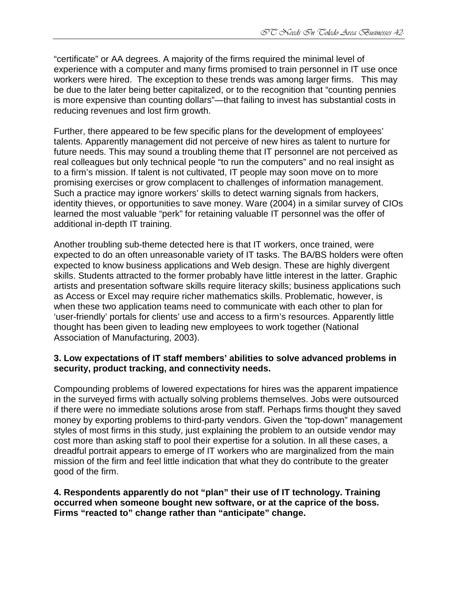"certificate" or AA degrees. A majority of the firms required the minimal level of experience with a computer and many firms promised to train personnel in IT use once workers were hired. The exception to these trends was among larger firms. This may be due to the later being better capitalized, or to the recognition that "counting pennies is more expensive than counting dollars"—that failing to invest has substantial costs in reducing revenues and lost firm growth.

Further, there appeared to be few specific plans for the development of employees' talents. Apparently management did not perceive of new hires as talent to nurture for future needs. This may sound a troubling theme that IT personnel are not perceived as real colleagues but only technical people "to run the computers" and no real insight as to a firm's mission. If talent is not cultivated, IT people may soon move on to more promising exercises or grow complacent to challenges of information management. Such a practice may ignore workers' skills to detect warning signals from hackers, identity thieves, or opportunities to save money. Ware (2004) in a similar survey of CIOs learned the most valuable "perk" for retaining valuable IT personnel was the offer of additional in-depth IT training.

Another troubling sub-theme detected here is that IT workers, once trained, were expected to do an often unreasonable variety of IT tasks. The BA/BS holders were often expected to know business applications and Web design. These are highly divergent skills. Students attracted to the former probably have little interest in the latter. Graphic artists and presentation software skills require literacy skills; business applications such as Access or Excel may require richer mathematics skills. Problematic, however, is when these two application teams need to communicate with each other to plan for 'user-friendly' portals for clients' use and access to a firm's resources. Apparently little thought has been given to leading new employees to work together (National Association of Manufacturing, 2003).

#### **3. Low expectations of IT staff members' abilities to solve advanced problems in security, product tracking, and connectivity needs.**

Compounding problems of lowered expectations for hires was the apparent impatience in the surveyed firms with actually solving problems themselves. Jobs were outsourced if there were no immediate solutions arose from staff. Perhaps firms thought they saved money by exporting problems to third-party vendors. Given the "top-down" management styles of most firms in this study, just explaining the problem to an outside vendor may cost more than asking staff to pool their expertise for a solution. In all these cases, a dreadful portrait appears to emerge of IT workers who are marginalized from the main mission of the firm and feel little indication that what they do contribute to the greater good of the firm.

**4. Respondents apparently do not "plan" their use of IT technology. Training occurred when someone bought new software, or at the caprice of the boss. Firms "reacted to" change rather than "anticipate" change.**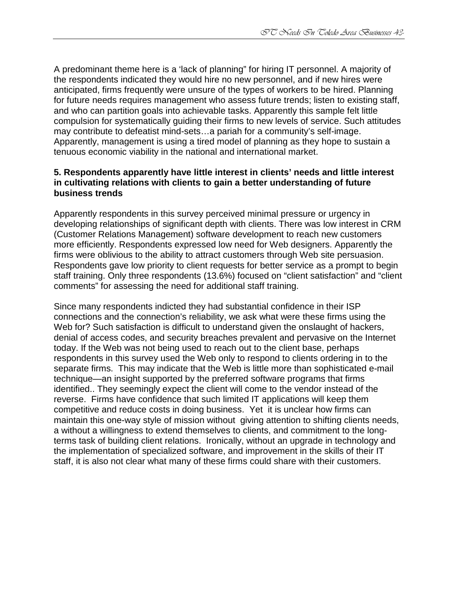A predominant theme here is a 'lack of planning" for hiring IT personnel. A majority of the respondents indicated they would hire no new personnel, and if new hires were anticipated, firms frequently were unsure of the types of workers to be hired. Planning for future needs requires management who assess future trends; listen to existing staff, and who can partition goals into achievable tasks. Apparently this sample felt little compulsion for systematically guiding their firms to new levels of service. Such attitudes may contribute to defeatist mind-sets…a pariah for a community's self-image. Apparently, management is using a tired model of planning as they hope to sustain a tenuous economic viability in the national and international market.

#### **5. Respondents apparently have little interest in clients' needs and little interest in cultivating relations with clients to gain a better understanding of future business trends**

Apparently respondents in this survey perceived minimal pressure or urgency in developing relationships of significant depth with clients. There was low interest in CRM (Customer Relations Management) software development to reach new customers more efficiently. Respondents expressed low need for Web designers. Apparently the firms were oblivious to the ability to attract customers through Web site persuasion. Respondents gave low priority to client requests for better service as a prompt to begin staff training. Only three respondents (13.6%) focused on "client satisfaction" and "client comments" for assessing the need for additional staff training.

Since many respondents indicted they had substantial confidence in their ISP connections and the connection's reliability, we ask what were these firms using the Web for? Such satisfaction is difficult to understand given the onslaught of hackers, denial of access codes, and security breaches prevalent and pervasive on the Internet today. If the Web was not being used to reach out to the client base, perhaps respondents in this survey used the Web only to respond to clients ordering in to the separate firms. This may indicate that the Web is little more than sophisticated e-mail technique—an insight supported by the preferred software programs that firms identified.. They seemingly expect the client will come to the vendor instead of the reverse. Firms have confidence that such limited IT applications will keep them competitive and reduce costs in doing business. Yet it is unclear how firms can maintain this one-way style of mission without giving attention to shifting clients needs, a without a willingness to extend themselves to clients, and commitment to the longterms task of building client relations. Ironically, without an upgrade in technology and the implementation of specialized software, and improvement in the skills of their IT staff, it is also not clear what many of these firms could share with their customers.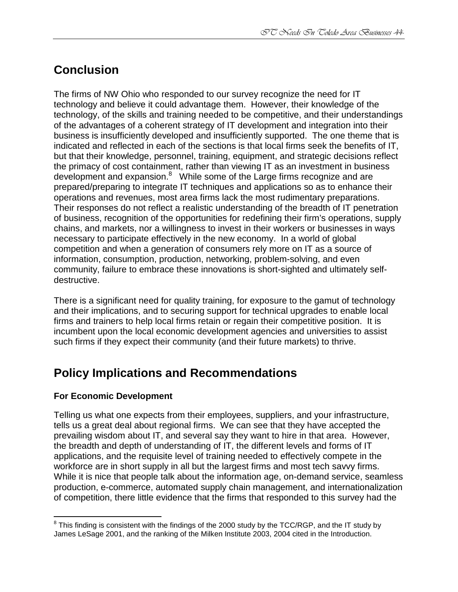# **Conclusion**

The firms of NW Ohio who responded to our survey recognize the need for IT technology and believe it could advantage them. However, their knowledge of the technology, of the skills and training needed to be competitive, and their understandings of the advantages of a coherent strategy of IT development and integration into their business is insufficiently developed and insufficiently supported. The one theme that is indicated and reflected in each of the sections is that local firms seek the benefits of IT, but that their knowledge, personnel, training, equipment, and strategic decisions reflect the primacy of cost containment, rather than viewing IT as an investment in business development and expansion.<sup>8</sup> While some of the Large firms recognize and are prepared/preparing to integrate IT techniques and applications so as to enhance their operations and revenues, most area firms lack the most rudimentary preparations. Their responses do not reflect a realistic understanding of the breadth of IT penetration of business, recognition of the opportunities for redefining their firm's operations, supply chains, and markets, nor a willingness to invest in their workers or businesses in ways necessary to participate effectively in the new economy. In a world of global competition and when a generation of consumers rely more on IT as a source of information, consumption, production, networking, problem-solving, and even community, failure to embrace these innovations is short-sighted and ultimately selfdestructive.

There is a significant need for quality training, for exposure to the gamut of technology and their implications, and to securing support for technical upgrades to enable local firms and trainers to help local firms retain or regain their competitive position. It is incumbent upon the local economic development agencies and universities to assist such firms if they expect their community (and their future markets) to thrive.

# **Policy Implications and Recommendations**

#### **For Economic Development**

Telling us what one expects from their employees, suppliers, and your infrastructure, tells us a great deal about regional firms. We can see that they have accepted the prevailing wisdom about IT, and several say they want to hire in that area. However, the breadth and depth of understanding of IT, the different levels and forms of IT applications, and the requisite level of training needed to effectively compete in the workforce are in short supply in all but the largest firms and most tech savvy firms. While it is nice that people talk about the information age, on-demand service, seamless production, e-commerce, automated supply chain management, and internationalization of competition, there little evidence that the firms that responded to this survey had the

 8 This finding is consistent with the findings of the 2000 study by the TCC/RGP, and the IT study by James LeSage 2001, and the ranking of the Milken Institute 2003, 2004 cited in the Introduction.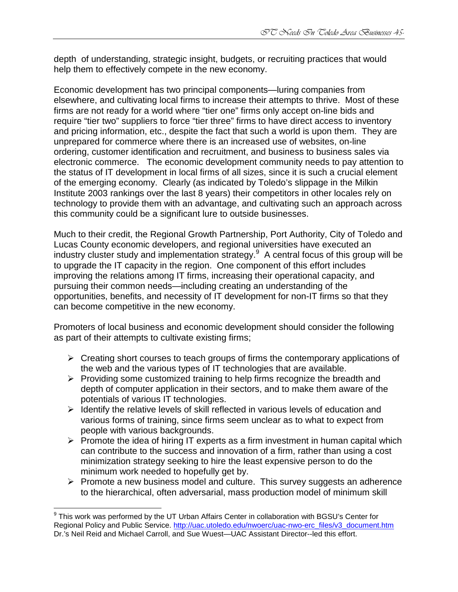depth of understanding, strategic insight, budgets, or recruiting practices that would help them to effectively compete in the new economy.

Economic development has two principal components—luring companies from elsewhere, and cultivating local firms to increase their attempts to thrive. Most of these firms are not ready for a world where "tier one" firms only accept on-line bids and require "tier two" suppliers to force "tier three" firms to have direct access to inventory and pricing information, etc., despite the fact that such a world is upon them. They are unprepared for commerce where there is an increased use of websites, on-line ordering, customer identification and recruitment, and business to business sales via electronic commerce. The economic development community needs to pay attention to the status of IT development in local firms of all sizes, since it is such a crucial element of the emerging economy. Clearly (as indicated by Toledo's slippage in the Milkin Institute 2003 rankings over the last 8 years) their competitors in other locales rely on technology to provide them with an advantage, and cultivating such an approach across this community could be a significant lure to outside businesses.

Much to their credit, the Regional Growth Partnership, Port Authority, City of Toledo and Lucas County economic developers, and regional universities have executed an industry cluster study and implementation strategy.<sup>9</sup> A central focus of this group will be to upgrade the IT capacity in the region. One component of this effort includes improving the relations among IT firms, increasing their operational capacity, and pursuing their common needs—including creating an understanding of the opportunities, benefits, and necessity of IT development for non-IT firms so that they can become competitive in the new economy.

Promoters of local business and economic development should consider the following as part of their attempts to cultivate existing firms;

- $\triangleright$  Creating short courses to teach groups of firms the contemporary applications of the web and the various types of IT technologies that are available.
- $\triangleright$  Providing some customized training to help firms recognize the breadth and depth of computer application in their sectors, and to make them aware of the potentials of various IT technologies.
- $\triangleright$  Identify the relative levels of skill reflected in various levels of education and various forms of training, since firms seem unclear as to what to expect from people with various backgrounds.
- $\triangleright$  Promote the idea of hiring IT experts as a firm investment in human capital which can contribute to the success and innovation of a firm, rather than using a cost minimization strategy seeking to hire the least expensive person to do the minimum work needed to hopefully get by.
- $\triangleright$  Promote a new business model and culture. This survey suggests an adherence to the hierarchical, often adversarial, mass production model of minimum skill

 $\frac{1}{2}$  $^9$  This work was performed by the UT Urban Affairs Center in collaboration with BGSU's Center for Regional Policy and Public Service. http://uac.utoledo.edu/nwoerc/uac-nwo-erc\_files/v3\_document.htm Dr.'s Neil Reid and Michael Carroll, and Sue Wuest—UAC Assistant Director--led this effort.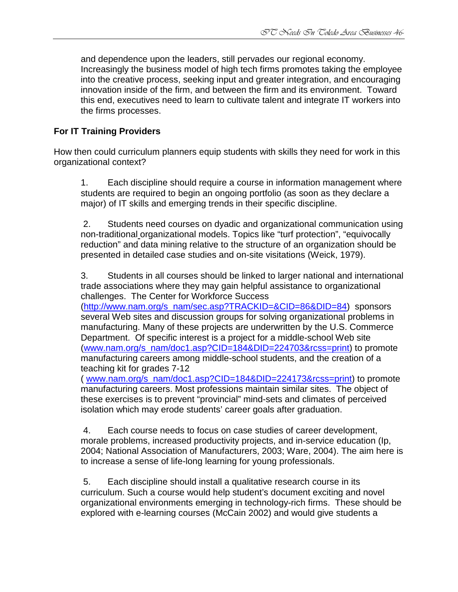and dependence upon the leaders, still pervades our regional economy. Increasingly the business model of high tech firms promotes taking the employee into the creative process, seeking input and greater integration, and encouraging innovation inside of the firm, and between the firm and its environment. Toward this end, executives need to learn to cultivate talent and integrate IT workers into the firms processes.

## **For IT Training Providers**

How then could curriculum planners equip students with skills they need for work in this organizational context?

1. Each discipline should require a course in information management where students are required to begin an ongoing portfolio (as soon as they declare a major) of IT skills and emerging trends in their specific discipline.

 2. Students need courses on dyadic and organizational communication using non-traditional organizational models. Topics like "turf protection", "equivocally reduction" and data mining relative to the structure of an organization should be presented in detailed case studies and on-site visitations (Weick, 1979).

3. Students in all courses should be linked to larger national and international trade associations where they may gain helpful assistance to organizational challenges. The Center for Workforce Success

(http://www.nam.org/s\_nam/sec.asp?TRACKID=&CID=86&DID=84) sponsors several Web sites and discussion groups for solving organizational problems in manufacturing. Many of these projects are underwritten by the U.S. Commerce Department. Of specific interest is a project for a middle-school Web site (www.nam.org/s\_nam/doc1.asp?CID=184&DID=224703&rcss=print) to promote manufacturing careers among middle-school students, and the creation of a teaching kit for grades 7-12

( www.nam.org/s\_nam/doc1.asp?CID=184&DID=224173&rcss=print) to promote manufacturing careers. Most professions maintain similar sites. The object of these exercises is to prevent "provincial" mind-sets and climates of perceived isolation which may erode students' career goals after graduation.

 4. Each course needs to focus on case studies of career development, morale problems, increased productivity projects, and in-service education (Ip, 2004; National Association of Manufacturers, 2003; Ware, 2004). The aim here is to increase a sense of life-long learning for young professionals.

 5. Each discipline should install a qualitative research course in its curriculum. Such a course would help student's document exciting and novel organizational environments emerging in technology-rich firms. These should be explored with e-learning courses (McCain 2002) and would give students a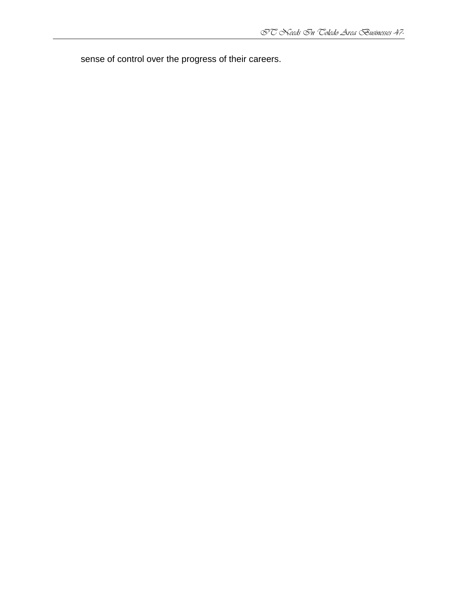sense of control over the progress of their careers.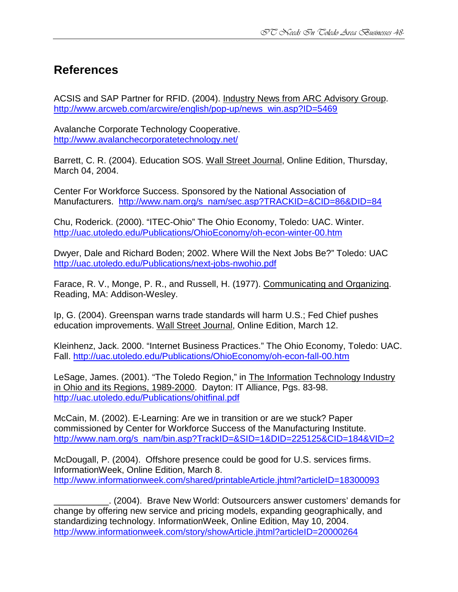# **References**

ACSIS and SAP Partner for RFID. (2004). Industry News from ARC Advisory Group. http://www.arcweb.com/arcwire/english/pop-up/news\_win.asp?ID=5469

Avalanche Corporate Technology Cooperative. http://www.avalanchecorporatetechnology.net/

Barrett, C. R. (2004). Education SOS. Wall Street Journal, Online Edition, Thursday, March 04, 2004.

Center For Workforce Success. Sponsored by the National Association of Manufacturers. http://www.nam.org/s\_nam/sec.asp?TRACKID=&CID=86&DID=84

Chu, Roderick. (2000). "ITEC-Ohio" The Ohio Economy, Toledo: UAC. Winter. http://uac.utoledo.edu/Publications/OhioEconomy/oh-econ-winter-00.htm

Dwyer, Dale and Richard Boden; 2002. Where Will the Next Jobs Be?" Toledo: UAC http://uac.utoledo.edu/Publications/next-jobs-nwohio.pdf

Farace, R. V., Monge, P. R., and Russell, H. (1977). Communicating and Organizing. Reading, MA: Addison-Wesley.

Ip, G. (2004). Greenspan warns trade standards will harm U.S.; Fed Chief pushes education improvements. Wall Street Journal, Online Edition, March 12.

Kleinhenz, Jack. 2000. "Internet Business Practices." The Ohio Economy, Toledo: UAC. Fall. http://uac.utoledo.edu/Publications/OhioEconomy/oh-econ-fall-00.htm

LeSage, James. (2001). "The Toledo Region," in The Information Technology Industry in Ohio and its Regions, 1989-2000. Dayton: IT Alliance, Pgs. 83-98. http://uac.utoledo.edu/Publications/ohitfinal.pdf

McCain, M. (2002). E-Learning: Are we in transition or are we stuck? Paper commissioned by Center for Workforce Success of the Manufacturing Institute. http://www.nam.org/s\_nam/bin.asp?TrackID=&SID=1&DID=225125&CID=184&VID=2

McDougall, P. (2004). Offshore presence could be good for U.S. services firms. InformationWeek, Online Edition, March 8. http://www.informationweek.com/shared/printableArticle.jhtml?articleID=18300093

\_\_\_\_\_\_\_\_\_\_\_. (2004). Brave New World: Outsourcers answer customers' demands for change by offering new service and pricing models, expanding geographically, and standardizing technology. InformationWeek, Online Edition, May 10, 2004. http://www.informationweek.com/story/showArticle.jhtml?articleID=20000264